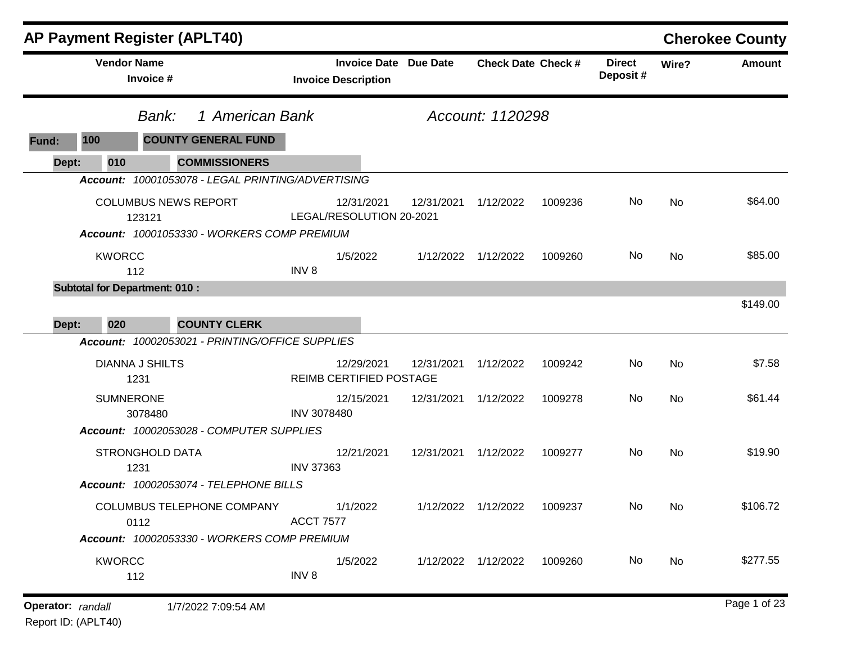|                   |                                | <b>AP Payment Register (APLT40)</b>                                       |                            |            |                              |                           |         |                            |       | <b>Cherokee County</b> |
|-------------------|--------------------------------|---------------------------------------------------------------------------|----------------------------|------------|------------------------------|---------------------------|---------|----------------------------|-------|------------------------|
|                   | <b>Vendor Name</b>             | Invoice #                                                                 | <b>Invoice Description</b> |            | <b>Invoice Date Due Date</b> | <b>Check Date Check #</b> |         | <b>Direct</b><br>Deposit # | Wire? | Amount                 |
|                   |                                | 1 American Bank<br>Bank:                                                  |                            |            |                              | Account: 1120298          |         |                            |       |                        |
| <b>Fund:</b>      | 100                            | <b>COUNTY GENERAL FUND</b>                                                |                            |            |                              |                           |         |                            |       |                        |
| Dept:             | 010                            | <b>COMMISSIONERS</b>                                                      |                            |            |                              |                           |         |                            |       |                        |
|                   |                                | Account: 10001053078 - LEGAL PRINTING/ADVERTISING                         |                            |            |                              |                           |         |                            |       |                        |
|                   |                                | <b>COLUMBUS NEWS REPORT</b><br>123121                                     | LEGAL/RESOLUTION 20-2021   | 12/31/2021 | 12/31/2021                   | 1/12/2022                 | 1009236 | No.                        | No    | \$64.00                |
|                   |                                | Account: 10001053330 - WORKERS COMP PREMIUM                               |                            |            |                              |                           |         |                            |       |                        |
|                   | <b>KWORCC</b><br>112           |                                                                           | INV <sub>8</sub>           | 1/5/2022   |                              | 1/12/2022 1/12/2022       | 1009260 | No                         | No    | \$85.00                |
|                   |                                | <b>Subtotal for Department: 010:</b>                                      |                            |            |                              |                           |         |                            |       |                        |
| Dept:             | 020                            | <b>COUNTY CLERK</b>                                                       |                            |            |                              |                           |         |                            |       | \$149.00               |
|                   |                                | Account: 10002053021 - PRINTING/OFFICE SUPPLIES                           |                            |            |                              |                           |         |                            |       |                        |
|                   | <b>DIANNA J SHILTS</b><br>1231 |                                                                           | REIMB CERTIFIED POSTAGE    | 12/29/2021 | 12/31/2021                   | 1/12/2022                 | 1009242 | No                         | No    | \$7.58                 |
|                   | <b>SUMNERONE</b>               | 3078480                                                                   | <b>INV 3078480</b>         | 12/15/2021 | 12/31/2021 1/12/2022         |                           | 1009278 | No                         | No    | \$61.44                |
|                   |                                | Account: 10002053028 - COMPUTER SUPPLIES                                  |                            |            |                              |                           |         |                            |       |                        |
|                   | 1231                           | <b>STRONGHOLD DATA</b>                                                    | <b>INV 37363</b>           | 12/21/2021 | 12/31/2021 1/12/2022         |                           | 1009277 | No                         | No    | \$19.90                |
|                   |                                | Account: 10002053074 - TELEPHONE BILLS                                    |                            |            |                              |                           |         |                            |       |                        |
|                   | 0112                           | COLUMBUS TELEPHONE COMPANY<br>Account: 10002053330 - WORKERS COMP PREMIUM | <b>ACCT 7577</b>           | 1/1/2022   |                              | 1/12/2022 1/12/2022       | 1009237 | No                         | No    | \$106.72               |
|                   |                                |                                                                           |                            |            |                              |                           |         |                            |       |                        |
|                   | <b>KWORCC</b><br>112           |                                                                           | INV <sub>8</sub>           | 1/5/2022   |                              | 1/12/2022 1/12/2022       | 1009260 | No                         | No    | \$277.55               |
| Operator: randall |                                | 1/7/2022 7:09:54 AM                                                       |                            |            |                              |                           |         |                            |       | Page 1 of 23           |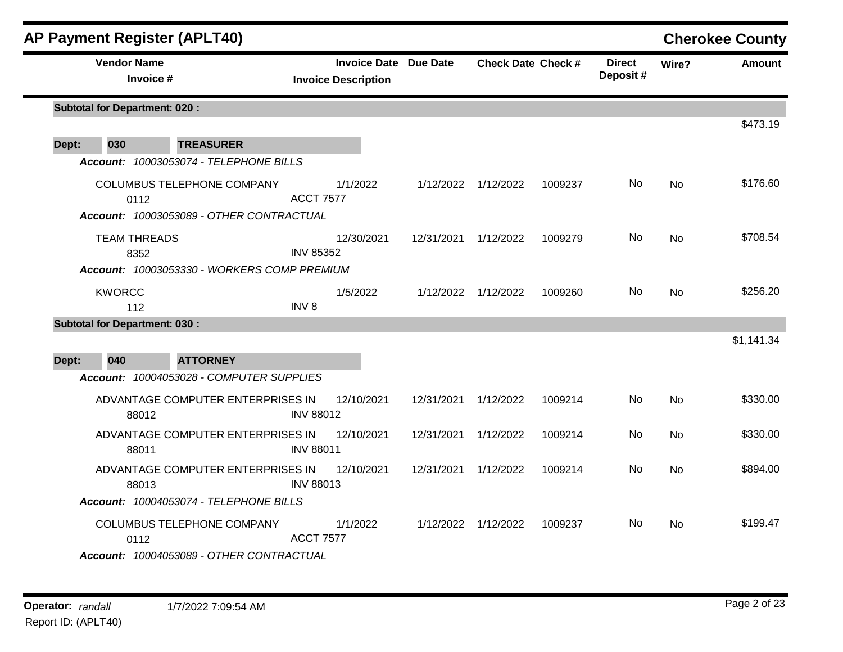|       |               | <b>AP Payment Register (APLT40)</b>                                        |                                                            |            |                           |         |                           |                | <b>Cherokee County</b> |
|-------|---------------|----------------------------------------------------------------------------|------------------------------------------------------------|------------|---------------------------|---------|---------------------------|----------------|------------------------|
|       |               | <b>Vendor Name</b><br>Invoice #                                            | <b>Invoice Date Due Date</b><br><b>Invoice Description</b> |            | <b>Check Date Check #</b> |         | <b>Direct</b><br>Deposit# | Wire?          | Amount                 |
|       |               | <b>Subtotal for Department: 020:</b>                                       |                                                            |            |                           |         |                           |                | \$473.19               |
| Dept: | 030           | <b>TREASURER</b>                                                           |                                                            |            |                           |         |                           |                |                        |
|       |               | Account: 10003053074 - TELEPHONE BILLS                                     |                                                            |            |                           |         |                           |                |                        |
|       |               | COLUMBUS TELEPHONE COMPANY<br>0112                                         | 1/1/2022<br><b>ACCT 7577</b>                               |            | 1/12/2022 1/12/2022       | 1009237 | No.                       | <b>No</b>      | \$176.60               |
|       |               | Account: 10003053089 - OTHER CONTRACTUAL                                   |                                                            |            |                           |         |                           |                |                        |
|       |               | <b>TEAM THREADS</b><br>8352<br>Account: 10003053330 - WORKERS COMP PREMIUM | 12/30/2021<br><b>INV 85352</b>                             | 12/31/2021 | 1/12/2022                 | 1009279 | No.                       | No             | \$708.54               |
|       | <b>KWORCC</b> |                                                                            | 1/5/2022                                                   |            | 1/12/2022 1/12/2022       | 1009260 | No                        | <b>No</b>      | \$256.20               |
|       |               | 112                                                                        | INV <sub>8</sub>                                           |            |                           |         |                           |                |                        |
|       |               | <b>Subtotal for Department: 030:</b>                                       |                                                            |            |                           |         |                           |                |                        |
|       |               |                                                                            |                                                            |            |                           |         |                           |                | \$1,141.34             |
| Dept: | 040           | <b>ATTORNEY</b>                                                            |                                                            |            |                           |         |                           |                |                        |
|       |               | Account: 10004053028 - COMPUTER SUPPLIES                                   |                                                            |            |                           |         |                           |                |                        |
|       |               | ADVANTAGE COMPUTER ENTERPRISES IN<br>88012                                 | 12/10/2021<br><b>INV 88012</b>                             | 12/31/2021 | 1/12/2022                 | 1009214 | No.                       | No             | \$330.00               |
|       |               | ADVANTAGE COMPUTER ENTERPRISES IN<br>88011                                 | 12/10/2021<br><b>INV 88011</b>                             | 12/31/2021 | 1/12/2022                 | 1009214 | No.                       | <b>No</b>      | \$330.00               |
|       |               | ADVANTAGE COMPUTER ENTERPRISES IN<br>88013                                 | 12/10/2021<br><b>INV 88013</b>                             | 12/31/2021 | 1/12/2022                 | 1009214 | No.                       | <b>No</b>      | \$894.00               |
|       |               | Account: 10004053074 - TELEPHONE BILLS                                     |                                                            |            |                           |         |                           |                |                        |
|       |               | <b>COLUMBUS TELEPHONE COMPANY</b><br>0112                                  | 1/1/2022<br><b>ACCT 7577</b>                               |            | 1/12/2022 1/12/2022       | 1009237 | No.                       | N <sub>o</sub> | \$199.47               |
|       |               | Account: 10004053089 - OTHER CONTRACTUAL                                   |                                                            |            |                           |         |                           |                |                        |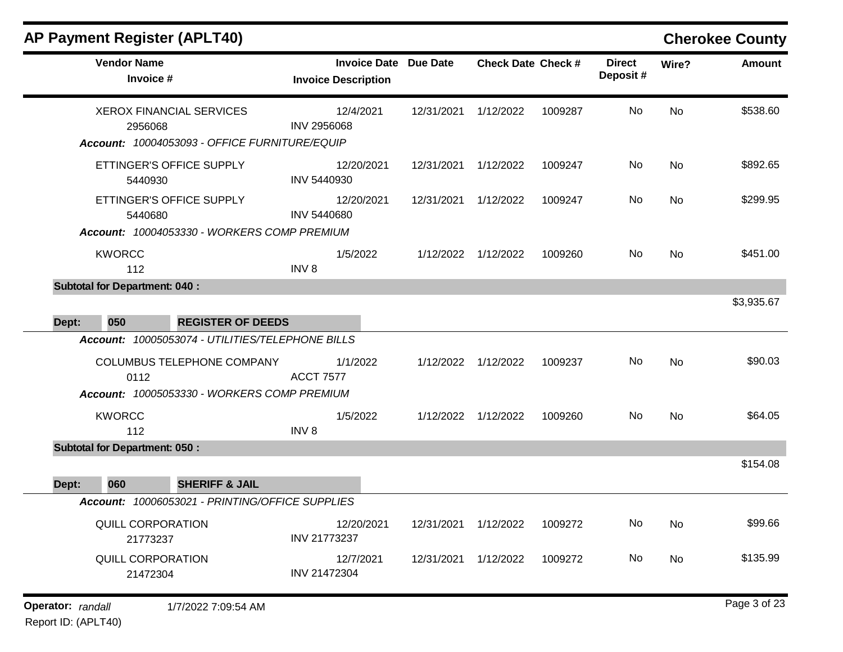|                   | <b>Vendor Name</b><br>Invoice #                                                    |                                                                                  |                                 | <b>Invoice Description</b> | <b>Invoice Date Due Date</b> | <b>Check Date Check #</b> |         | <b>Direct</b><br>Deposit# | Wire? | <b>Amount</b> |
|-------------------|------------------------------------------------------------------------------------|----------------------------------------------------------------------------------|---------------------------------|----------------------------|------------------------------|---------------------------|---------|---------------------------|-------|---------------|
|                   | 2956068                                                                            | <b>XEROX FINANCIAL SERVICES</b><br>Account: 10004053093 - OFFICE FURNITURE/EQUIP | 12/4/2021<br><b>INV 2956068</b> |                            | 12/31/2021                   | 1/12/2022                 | 1009287 | No                        | No    | \$538.60      |
|                   | 5440930                                                                            | ETTINGER'S OFFICE SUPPLY                                                         | 12/20/2021<br>INV 5440930       |                            | 12/31/2021 1/12/2022         |                           | 1009247 | No.                       | No    | \$892.65      |
|                   | ETTINGER'S OFFICE SUPPLY<br>5440680<br>Account: 10004053330 - WORKERS COMP PREMIUM |                                                                                  |                                 | 12/20/2021                 | 12/31/2021 1/12/2022         |                           | 1009247 | No                        | No    | \$299.95      |
|                   | <b>KWORCC</b><br>112                                                               |                                                                                  | 1/5/2022<br>INV <sub>8</sub>    |                            |                              | 1/12/2022 1/12/2022       | 1009260 | No                        | No    | \$451.00      |
|                   | <b>Subtotal for Department: 040:</b>                                               |                                                                                  |                                 |                            |                              |                           |         |                           |       | \$3,935.67    |
| Dept:             | 050                                                                                | <b>REGISTER OF DEEDS</b>                                                         |                                 |                            |                              |                           |         |                           |       |               |
|                   |                                                                                    | Account: 10005053074 - UTILITIES/TELEPHONE BILLS                                 |                                 |                            |                              |                           |         |                           |       |               |
|                   | 0112                                                                               | COLUMBUS TELEPHONE COMPANY                                                       | 1/1/2022<br><b>ACCT 7577</b>    |                            |                              | 1/12/2022 1/12/2022       | 1009237 | No                        | No    | \$90.03       |
|                   | <b>KWORCC</b><br>112                                                               | Account: 10005053330 - WORKERS COMP PREMIUM                                      | 1/5/2022<br>INV <sub>8</sub>    |                            |                              | 1/12/2022 1/12/2022       | 1009260 | No                        | No    | \$64.05       |
|                   | <b>Subtotal for Department: 050:</b>                                               |                                                                                  |                                 |                            |                              |                           |         |                           |       |               |
|                   |                                                                                    |                                                                                  |                                 |                            |                              |                           |         |                           |       | \$154.08      |
| Dept:             | 060                                                                                | <b>SHERIFF &amp; JAIL</b><br>Account: 10006053021 - PRINTING/OFFICE SUPPLIES     |                                 |                            |                              |                           |         |                           |       |               |
|                   | QUILL CORPORATION<br>21773237                                                      |                                                                                  | 12/20/2021<br>INV 21773237      |                            | 12/31/2021                   | 1/12/2022                 | 1009272 | No.                       | No.   | \$99.66       |
|                   | QUILL CORPORATION<br>21472304                                                      |                                                                                  | 12/7/2021<br>INV 21472304       |                            | 12/31/2021                   | 1/12/2022                 | 1009272 | No                        | No    | \$135.99      |
| Operator: randall |                                                                                    | 1/7/2022 7:09:54 AM                                                              |                                 |                            |                              |                           |         |                           |       | Page 3 of 23  |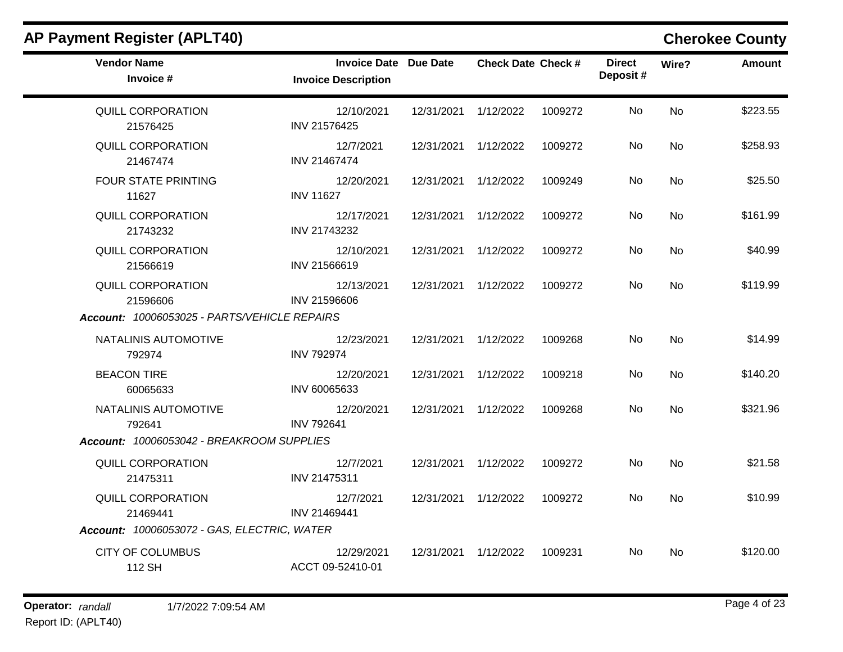| <b>Vendor Name</b><br>Invoice #              | <b>Invoice Date Due Date</b><br><b>Invoice Description</b> |                      | <b>Check Date Check #</b> |         | <b>Direct</b><br>Deposit# | Wire?     | <b>Amount</b> |
|----------------------------------------------|------------------------------------------------------------|----------------------|---------------------------|---------|---------------------------|-----------|---------------|
| QUILL CORPORATION<br>21576425                | 12/10/2021<br>INV 21576425                                 | 12/31/2021           | 1/12/2022                 | 1009272 | <b>No</b>                 | <b>No</b> | \$223.55      |
| <b>QUILL CORPORATION</b><br>21467474         | 12/7/2021<br>INV 21467474                                  | 12/31/2021 1/12/2022 |                           | 1009272 | No                        | <b>No</b> | \$258.93      |
| <b>FOUR STATE PRINTING</b><br>11627          | 12/20/2021<br><b>INV 11627</b>                             | 12/31/2021           | 1/12/2022                 | 1009249 | No                        | <b>No</b> | \$25.50       |
| QUILL CORPORATION<br>21743232                | 12/17/2021<br>INV 21743232                                 | 12/31/2021           | 1/12/2022                 | 1009272 | No.                       | No        | \$161.99      |
| <b>QUILL CORPORATION</b><br>21566619         | 12/10/2021<br>INV 21566619                                 | 12/31/2021 1/12/2022 |                           | 1009272 | No                        | <b>No</b> | \$40.99       |
| QUILL CORPORATION<br>21596606                | 12/13/2021<br>INV 21596606                                 | 12/31/2021 1/12/2022 |                           | 1009272 | No.                       | No        | \$119.99      |
| Account: 10006053025 - PARTS/VEHICLE REPAIRS |                                                            |                      |                           |         |                           |           |               |
| NATALINIS AUTOMOTIVE<br>792974               | 12/23/2021<br><b>INV 792974</b>                            | 12/31/2021 1/12/2022 |                           | 1009268 | No                        | <b>No</b> | \$14.99       |
| <b>BEACON TIRE</b><br>60065633               | 12/20/2021<br>INV 60065633                                 | 12/31/2021 1/12/2022 |                           | 1009218 | No.                       | No        | \$140.20      |
| NATALINIS AUTOMOTIVE<br>792641               | 12/20/2021<br><b>INV 792641</b>                            | 12/31/2021           | 1/12/2022                 | 1009268 | No                        | <b>No</b> | \$321.96      |
| Account: 10006053042 - BREAKROOM SUPPLIES    |                                                            |                      |                           |         |                           |           |               |
| <b>QUILL CORPORATION</b><br>21475311         | 12/7/2021<br>INV 21475311                                  | 12/31/2021 1/12/2022 |                           | 1009272 | No                        | <b>No</b> | \$21.58       |
| QUILL CORPORATION<br>21469441                | 12/7/2021<br>INV 21469441                                  | 12/31/2021 1/12/2022 |                           | 1009272 | No.                       | <b>No</b> | \$10.99       |
| Account: 10006053072 - GAS, ELECTRIC, WATER  |                                                            |                      |                           |         |                           |           |               |
| <b>CITY OF COLUMBUS</b><br>112 SH            | 12/29/2021<br>ACCT 09-52410-01                             | 12/31/2021 1/12/2022 |                           | 1009231 | No.                       | No        | \$120.00      |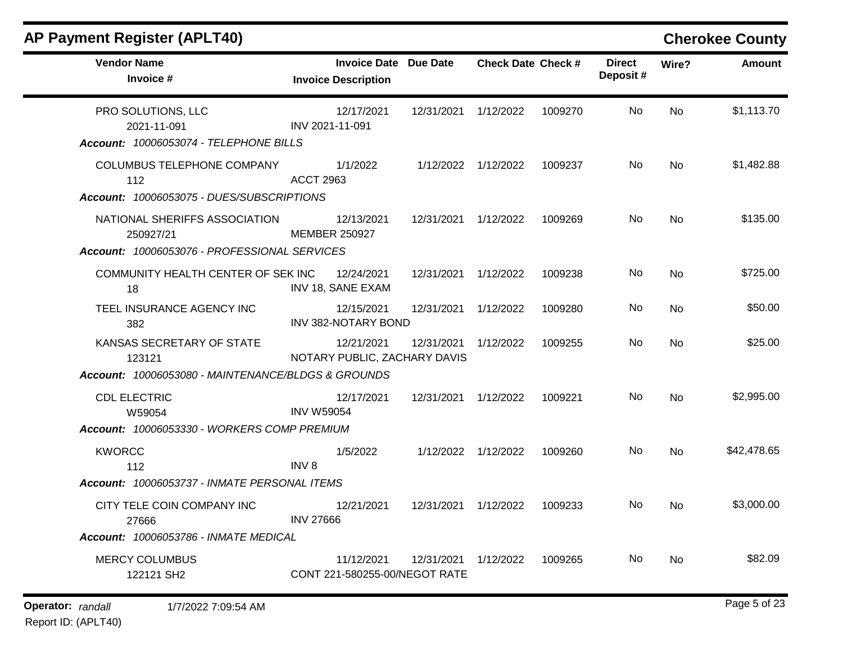| <b>Vendor Name</b><br>Invoice #                                                                                                    | <b>Invoice Date Due Date</b><br><b>Invoice Description</b> |                      | <b>Check Date Check #</b> |         | <b>Direct</b><br>Deposit# | Wire?     | <b>Amount</b> |
|------------------------------------------------------------------------------------------------------------------------------------|------------------------------------------------------------|----------------------|---------------------------|---------|---------------------------|-----------|---------------|
| PRO SOLUTIONS, LLC<br>2021-11-091<br>Account: 10006053074 - TELEPHONE BILLS                                                        | 12/17/2021<br>INV 2021-11-091                              | 12/31/2021           | 1/12/2022                 | 1009270 | No                        | <b>No</b> | \$1,113.70    |
| COLUMBUS TELEPHONE COMPANY<br>112<br>Account: 10006053075 - DUES/SUBSCRIPTIONS                                                     | 1/1/2022<br><b>ACCT 2963</b>                               |                      | 1/12/2022 1/12/2022       | 1009237 | No.                       | <b>No</b> | \$1,482.88    |
| NATIONAL SHERIFFS ASSOCIATION<br>250927/21<br>Account: 10006053076 - PROFESSIONAL SERVICES                                         | 12/13/2021<br><b>MEMBER 250927</b>                         | 12/31/2021 1/12/2022 |                           | 1009269 | No.                       | <b>No</b> | \$135.00      |
| COMMUNITY HEALTH CENTER OF SEK INC<br>18                                                                                           | 12/24/2021<br>INV 18, SANE EXAM                            | 12/31/2021           | 1/12/2022                 | 1009238 | No                        | <b>No</b> | \$725.00      |
| TEEL INSURANCE AGENCY INC<br>382                                                                                                   | 12/15/2021<br><b>INV 382-NOTARY BOND</b>                   | 12/31/2021           | 1/12/2022                 | 1009280 | No.                       | <b>No</b> | \$50.00       |
| KANSAS SECRETARY OF STATE<br>123121                                                                                                | 12/21/2021<br>NOTARY PUBLIC, ZACHARY DAVIS                 | 12/31/2021           | 1/12/2022                 | 1009255 | No.                       | <b>No</b> | \$25.00       |
| Account: 10006053080 - MAINTENANCE/BLDGS & GROUNDS<br><b>CDL ELECTRIC</b><br>W59054<br>Account: 10006053330 - WORKERS COMP PREMIUM | 12/17/2021<br><b>INV W59054</b>                            | 12/31/2021 1/12/2022 |                           | 1009221 | No.                       | <b>No</b> | \$2,995.00    |
| <b>KWORCC</b><br>112<br>Account: 10006053737 - INMATE PERSONAL ITEMS                                                               | 1/5/2022<br>INV <sub>8</sub>                               | 1/12/2022            | 1/12/2022                 | 1009260 | No                        | <b>No</b> | \$42,478.65   |
| CITY TELE COIN COMPANY INC<br>27666                                                                                                | 12/21/2021<br><b>INV 27666</b>                             | 12/31/2021 1/12/2022 |                           | 1009233 | No.                       | No        | \$3,000.00    |
| Account: 10006053786 - INMATE MEDICAL                                                                                              |                                                            |                      |                           |         |                           |           |               |
| <b>MERCY COLUMBUS</b><br>122121 SH2                                                                                                | 11/12/2021<br>CONT 221-580255-00/NEGOT RATE                | 12/31/2021           | 1/12/2022                 | 1009265 | No.                       | No        | \$82.09       |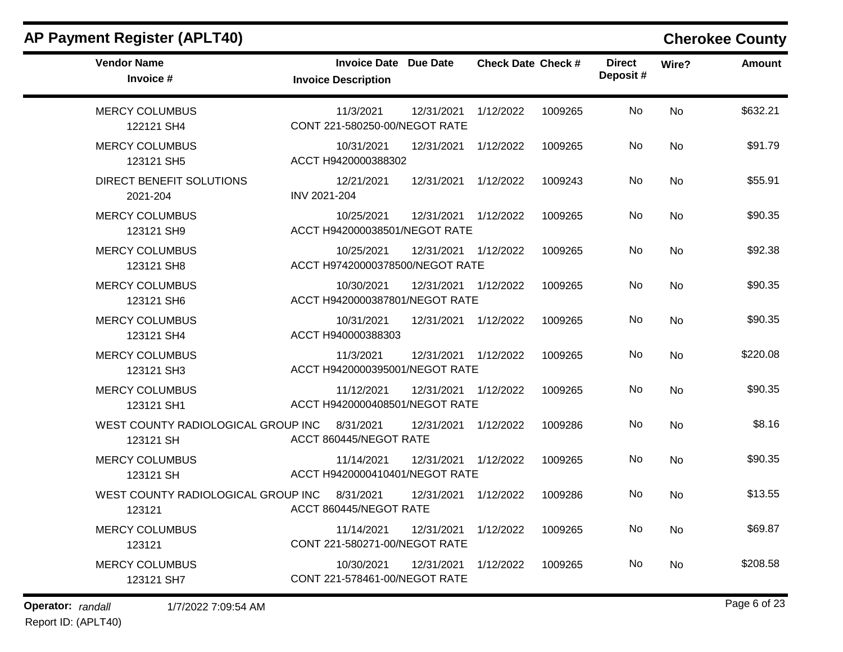| <b>Vendor Name</b><br>Invoice #                 | <b>Invoice Date</b> Due Date<br><b>Invoice Description</b> |                      | <b>Check Date Check #</b> |         | <b>Direct</b><br>Deposit# | Wire?     | <b>Amount</b> |
|-------------------------------------------------|------------------------------------------------------------|----------------------|---------------------------|---------|---------------------------|-----------|---------------|
| <b>MERCY COLUMBUS</b><br>122121 SH4             | 11/3/2021<br>CONT 221-580250-00/NEGOT RATE                 | 12/31/2021 1/12/2022 |                           | 1009265 | No                        | No        | \$632.21      |
| <b>MERCY COLUMBUS</b><br>123121 SH5             | 10/31/2021<br>ACCT H9420000388302                          | 12/31/2021 1/12/2022 |                           | 1009265 | No                        | <b>No</b> | \$91.79       |
| DIRECT BENEFIT SOLUTIONS<br>2021-204            | 12/21/2021<br>INV 2021-204                                 | 12/31/2021           | 1/12/2022                 | 1009243 | No                        | <b>No</b> | \$55.91       |
| <b>MERCY COLUMBUS</b><br>123121 SH9             | 10/25/2021<br>ACCT H942000038501/NEGOT RATE                | 12/31/2021 1/12/2022 |                           | 1009265 | No                        | <b>No</b> | \$90.35       |
| <b>MERCY COLUMBUS</b><br>123121 SH8             | 10/25/2021<br>ACCT H97420000378500/NEGOT RATE              | 12/31/2021 1/12/2022 |                           | 1009265 | No.                       | No        | \$92.38       |
| <b>MERCY COLUMBUS</b><br>123121 SH6             | 10/30/2021<br>ACCT H9420000387801/NEGOT RATE               | 12/31/2021 1/12/2022 |                           | 1009265 | No                        | No        | \$90.35       |
| <b>MERCY COLUMBUS</b><br>123121 SH4             | 10/31/2021<br>ACCT H940000388303                           | 12/31/2021 1/12/2022 |                           | 1009265 | No                        | <b>No</b> | \$90.35       |
| <b>MERCY COLUMBUS</b><br>123121 SH3             | 11/3/2021<br>ACCT H9420000395001/NEGOT RATE                | 12/31/2021 1/12/2022 |                           | 1009265 | No                        | No        | \$220.08      |
| <b>MERCY COLUMBUS</b><br>123121 SH1             | 11/12/2021<br>ACCT H9420000408501/NEGOT RATE               | 12/31/2021 1/12/2022 |                           | 1009265 | No                        | <b>No</b> | \$90.35       |
| WEST COUNTY RADIOLOGICAL GROUP INC<br>123121 SH | 8/31/2021<br>ACCT 860445/NEGOT RATE                        | 12/31/2021           | 1/12/2022                 | 1009286 | No                        | <b>No</b> | \$8.16        |
| <b>MERCY COLUMBUS</b><br>123121 SH              | 11/14/2021<br>ACCT H9420000410401/NEGOT RATE               | 12/31/2021 1/12/2022 |                           | 1009265 | No                        | <b>No</b> | \$90.35       |
| WEST COUNTY RADIOLOGICAL GROUP INC<br>123121    | 8/31/2021<br>ACCT 860445/NEGOT RATE                        | 12/31/2021           | 1/12/2022                 | 1009286 | No.                       | <b>No</b> | \$13.55       |
| <b>MERCY COLUMBUS</b><br>123121                 | 11/14/2021<br>CONT 221-580271-00/NEGOT RATE                | 12/31/2021           | 1/12/2022                 | 1009265 | No                        | <b>No</b> | \$69.87       |
| <b>MERCY COLUMBUS</b><br>123121 SH7             | 10/30/2021<br>CONT 221-578461-00/NEGOT RATE                | 12/31/2021           | 1/12/2022                 | 1009265 | No                        | <b>No</b> | \$208.58      |

**Operator:** randall 1/7/2022 7:09:54 AM **Page 6 of 23**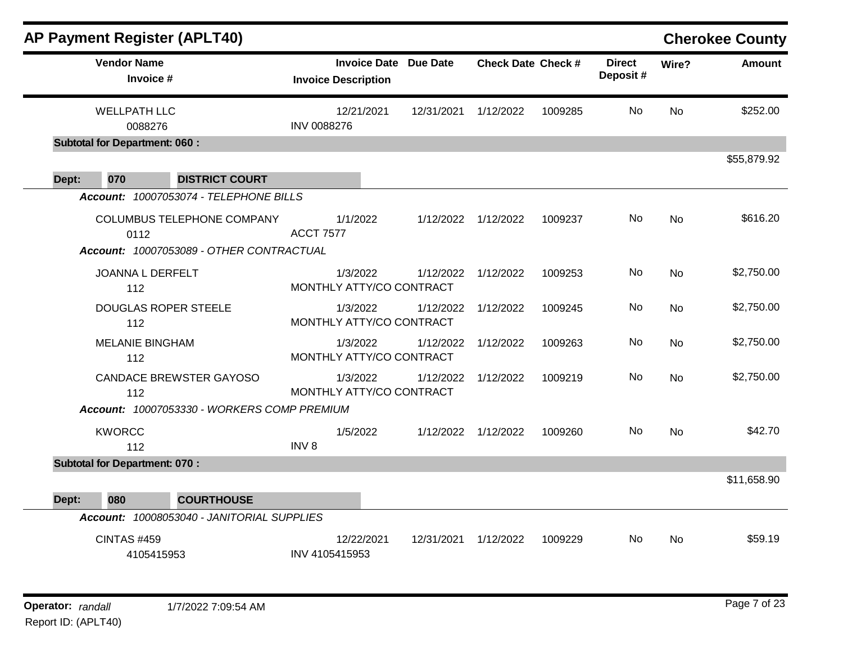|                                    |                                      | <b>AP Payment Register (APLT40)</b>                             |                            |                              |            |                           |         |                           |           | <b>Cherokee County</b> |
|------------------------------------|--------------------------------------|-----------------------------------------------------------------|----------------------------|------------------------------|------------|---------------------------|---------|---------------------------|-----------|------------------------|
|                                    | <b>Vendor Name</b><br>Invoice #      |                                                                 | <b>Invoice Description</b> | <b>Invoice Date Due Date</b> |            | <b>Check Date Check #</b> |         | <b>Direct</b><br>Deposit# | Wire?     | Amount                 |
|                                    | <b>WELLPATH LLC</b><br>0088276       |                                                                 | <b>INV 0088276</b>         | 12/21/2021                   | 12/31/2021 | 1/12/2022                 | 1009285 | No.                       | No        | \$252.00               |
|                                    | <b>Subtotal for Department: 060:</b> |                                                                 |                            |                              |            |                           |         |                           |           |                        |
|                                    |                                      |                                                                 |                            |                              |            |                           |         |                           |           | \$55,879.92            |
| Dept:                              | 070                                  | <b>DISTRICT COURT</b><br>Account: 10007053074 - TELEPHONE BILLS |                            |                              |            |                           |         |                           |           |                        |
| COLUMBUS TELEPHONE COMPANY<br>0112 |                                      | Account: 10007053089 - OTHER CONTRACTUAL                        | <b>ACCT 7577</b>           | 1/1/2022                     |            | 1/12/2022 1/12/2022       | 1009237 | No.                       | No        | \$616.20               |
|                                    | JOANNA L DERFELT<br>112              |                                                                 | MONTHLY ATTY/CO CONTRACT   | 1/3/2022                     | 1/12/2022  | 1/12/2022                 | 1009253 | No                        | <b>No</b> | \$2,750.00             |
|                                    | 112                                  | <b>DOUGLAS ROPER STEELE</b>                                     | MONTHLY ATTY/CO CONTRACT   | 1/3/2022                     | 1/12/2022  | 1/12/2022                 | 1009245 | No.                       | No        | \$2,750.00             |
|                                    | <b>MELANIE BINGHAM</b><br>112        |                                                                 | MONTHLY ATTY/CO CONTRACT   | 1/3/2022                     | 1/12/2022  | 1/12/2022                 | 1009263 | No.                       | No        | \$2,750.00             |
|                                    | 112                                  | <b>CANDACE BREWSTER GAYOSO</b>                                  | MONTHLY ATTY/CO CONTRACT   | 1/3/2022                     | 1/12/2022  | 1/12/2022                 | 1009219 | No                        | <b>No</b> | \$2,750.00             |
|                                    |                                      | Account: 10007053330 - WORKERS COMP PREMIUM                     |                            |                              |            |                           |         |                           |           |                        |
|                                    | <b>KWORCC</b><br>112                 |                                                                 | INV <sub>8</sub>           | 1/5/2022                     |            | 1/12/2022 1/12/2022       | 1009260 | No.                       | <b>No</b> | \$42.70                |
|                                    | <b>Subtotal for Department: 070:</b> |                                                                 |                            |                              |            |                           |         |                           |           |                        |
| Dept:                              | 080                                  | <b>COURTHOUSE</b>                                               |                            |                              |            |                           |         |                           |           | \$11,658.90            |
|                                    |                                      | Account: 10008053040 - JANITORIAL SUPPLIES                      |                            |                              |            |                           |         |                           |           |                        |
|                                    | <b>CINTAS #459</b><br>4105415953     |                                                                 | INV 4105415953             | 12/22/2021                   | 12/31/2021 | 1/12/2022                 | 1009229 | No.                       | <b>No</b> | \$59.19                |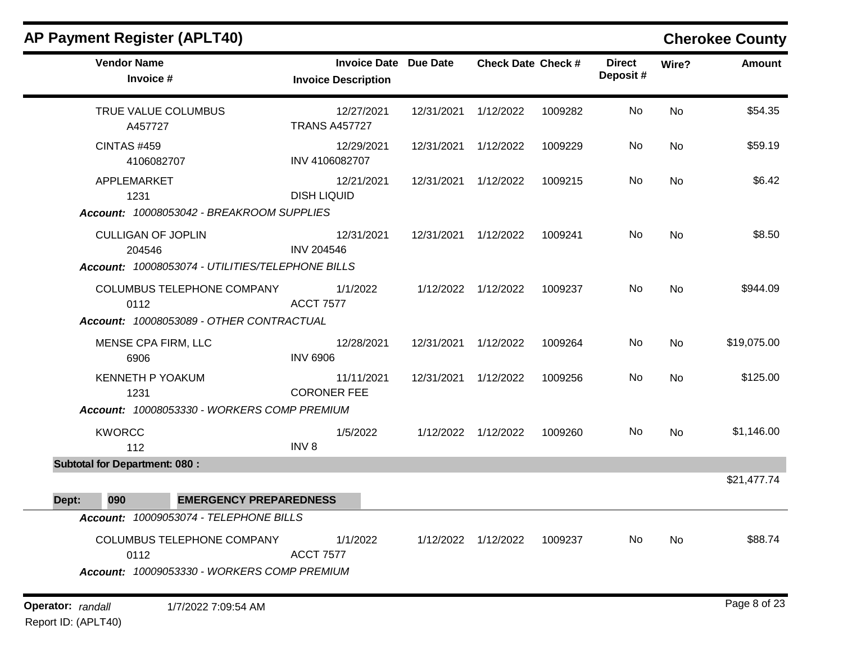| <b>AP Payment Register (APLT40)</b>                                                     |                                                            |            |                           |         |                           |           | <b>Cherokee County</b> |
|-----------------------------------------------------------------------------------------|------------------------------------------------------------|------------|---------------------------|---------|---------------------------|-----------|------------------------|
| <b>Vendor Name</b><br>Invoice #                                                         | <b>Invoice Date Due Date</b><br><b>Invoice Description</b> |            | <b>Check Date Check #</b> |         | <b>Direct</b><br>Deposit# | Wire?     | <b>Amount</b>          |
| TRUE VALUE COLUMBUS<br>A457727                                                          | 12/27/2021<br><b>TRANS A457727</b>                         | 12/31/2021 | 1/12/2022                 | 1009282 | No                        | No        | \$54.35                |
| <b>CINTAS #459</b><br>4106082707                                                        | 12/29/2021<br>INV 4106082707                               | 12/31/2021 | 1/12/2022                 | 1009229 | No                        | <b>No</b> | \$59.19                |
| APPLEMARKET<br>1231                                                                     | 12/21/2021<br><b>DISH LIQUID</b>                           | 12/31/2021 | 1/12/2022                 | 1009215 | No                        | No        | \$6.42                 |
| Account: 10008053042 - BREAKROOM SUPPLIES                                               |                                                            |            |                           |         |                           |           |                        |
| <b>CULLIGAN OF JOPLIN</b><br>204546<br>Account: 10008053074 - UTILITIES/TELEPHONE BILLS | 12/31/2021<br><b>INV 204546</b>                            | 12/31/2021 | 1/12/2022                 | 1009241 | No                        | <b>No</b> | \$8.50                 |
| COLUMBUS TELEPHONE COMPANY<br>0112<br>Account: 10008053089 - OTHER CONTRACTUAL          | 1/1/2022<br><b>ACCT 7577</b>                               |            | 1/12/2022 1/12/2022       | 1009237 | No                        | <b>No</b> | \$944.09               |
| MENSE CPA FIRM, LLC<br>6906                                                             | 12/28/2021<br><b>INV 6906</b>                              | 12/31/2021 | 1/12/2022                 | 1009264 | No                        | <b>No</b> | \$19,075.00            |
| <b>KENNETH P YOAKUM</b><br>1231<br>Account: 10008053330 - WORKERS COMP PREMIUM          | 11/11/2021<br><b>CORONER FEE</b>                           | 12/31/2021 | 1/12/2022                 | 1009256 | No                        | <b>No</b> | \$125.00               |
| <b>KWORCC</b><br>112                                                                    | 1/5/2022<br>INV <sub>8</sub>                               | 1/12/2022  | 1/12/2022                 | 1009260 | No                        | <b>No</b> | \$1,146.00             |
| <b>Subtotal for Department: 080:</b>                                                    |                                                            |            |                           |         |                           |           |                        |
| 090<br><b>EMERGENCY PREPAREDNESS</b><br>Dept:                                           |                                                            |            |                           |         |                           |           | \$21,477.74            |
| Account: 10009053074 - TELEPHONE BILLS                                                  |                                                            |            |                           |         |                           |           |                        |
| COLUMBUS TELEPHONE COMPANY<br>0112<br>Account: 10009053330 - WORKERS COMP PREMIUM       | 1/1/2022<br><b>ACCT 7577</b>                               |            | 1/12/2022 1/12/2022       | 1009237 | No                        | No        | \$88.74                |
| Operator: randall<br>1/7/2022 7:09:54 AM                                                |                                                            |            |                           |         |                           |           | Page 8 of 23           |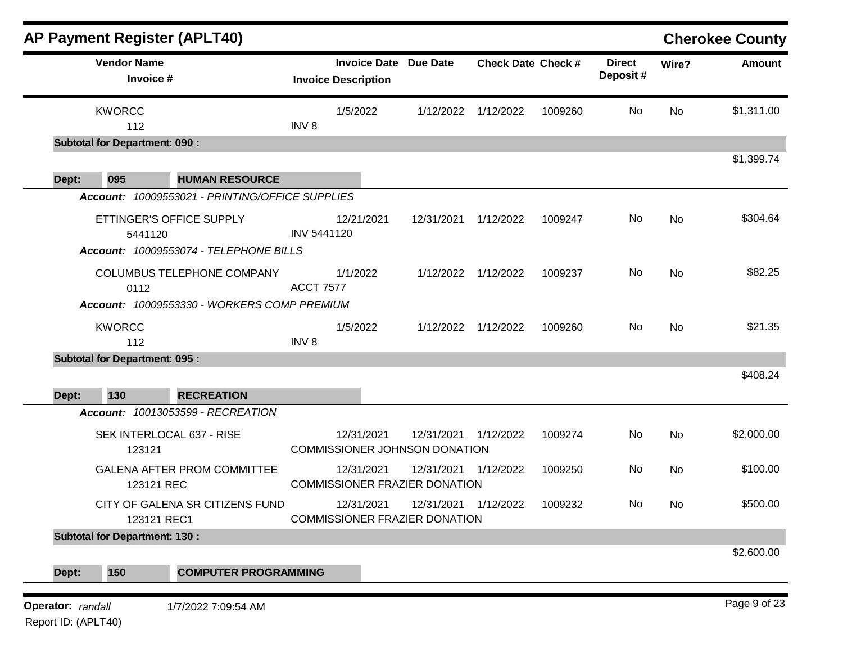| <b>AP Payment Register (APLT40)</b>              |                    |                                                            |                      |                           |         |                           |           | <b>Cherokee County</b> |
|--------------------------------------------------|--------------------|------------------------------------------------------------|----------------------|---------------------------|---------|---------------------------|-----------|------------------------|
| <b>Vendor Name</b><br>Invoice #                  |                    | <b>Invoice Date Due Date</b><br><b>Invoice Description</b> |                      | <b>Check Date Check #</b> |         | <b>Direct</b><br>Deposit# | Wire?     | <b>Amount</b>          |
| <b>KWORCC</b><br>112                             | INV <sub>8</sub>   | 1/5/2022                                                   |                      | 1/12/2022 1/12/2022       | 1009260 | No                        | <b>No</b> | \$1,311.00             |
| <b>Subtotal for Department: 090:</b>             |                    |                                                            |                      |                           |         |                           |           |                        |
|                                                  |                    |                                                            |                      |                           |         |                           |           | \$1,399.74             |
| 095<br>Dept:<br><b>HUMAN RESOURCE</b>            |                    |                                                            |                      |                           |         |                           |           |                        |
| Account: 10009553021 - PRINTING/OFFICE SUPPLIES  |                    |                                                            |                      |                           |         |                           |           |                        |
| ETTINGER'S OFFICE SUPPLY<br>5441120              | <b>INV 5441120</b> | 12/21/2021                                                 | 12/31/2021 1/12/2022 |                           | 1009247 | No                        | <b>No</b> | \$304.64               |
| Account: 10009553074 - TELEPHONE BILLS           |                    |                                                            |                      |                           |         |                           |           |                        |
| COLUMBUS TELEPHONE COMPANY<br>0112               | <b>ACCT 7577</b>   | 1/1/2022                                                   |                      | 1/12/2022 1/12/2022       | 1009237 | No                        | <b>No</b> | \$82.25                |
| Account: 10009553330 - WORKERS COMP PREMIUM      |                    |                                                            |                      |                           |         |                           |           |                        |
| <b>KWORCC</b><br>112                             | INV <sub>8</sub>   | 1/5/2022                                                   |                      | 1/12/2022 1/12/2022       | 1009260 | No                        | <b>No</b> | \$21.35                |
| <b>Subtotal for Department: 095:</b>             |                    |                                                            |                      |                           |         |                           |           |                        |
|                                                  |                    |                                                            |                      |                           |         |                           |           | \$408.24               |
| 130<br><b>RECREATION</b><br>Dept:                |                    |                                                            |                      |                           |         |                           |           |                        |
| Account: 10013053599 - RECREATION                |                    |                                                            |                      |                           |         |                           |           |                        |
| SEK INTERLOCAL 637 - RISE<br>123121              |                    | 12/31/2021<br>COMMISSIONER JOHNSON DONATION                | 12/31/2021           | 1/12/2022                 | 1009274 | No                        | No        | \$2,000.00             |
| <b>GALENA AFTER PROM COMMITTEE</b><br>123121 REC |                    | 12/31/2021<br><b>COMMISSIONER FRAZIER DONATION</b>         | 12/31/2021 1/12/2022 |                           | 1009250 | No                        | No        | \$100.00               |
| CITY OF GALENA SR CITIZENS FUND<br>123121 REC1   |                    | 12/31/2021<br><b>COMMISSIONER FRAZIER DONATION</b>         | 12/31/2021           | 1/12/2022                 | 1009232 | No.                       | No.       | \$500.00               |
| <b>Subtotal for Department: 130:</b>             |                    |                                                            |                      |                           |         |                           |           |                        |
|                                                  |                    |                                                            |                      |                           |         |                           |           | \$2,600.00             |
| 150<br><b>COMPUTER PROGRAMMING</b><br>Dept:      |                    |                                                            |                      |                           |         |                           |           |                        |
| Operator: randall<br>1/7/2022 7:09:54 AM         |                    |                                                            |                      |                           |         |                           |           | Page 9 of 23           |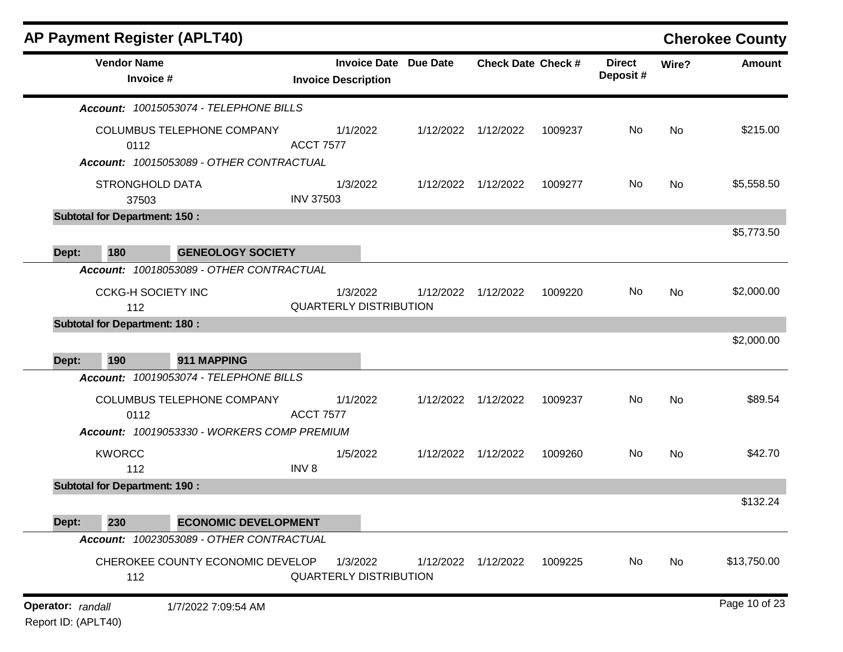|                                          |                                      | <b>AP Payment Register (APLT40)</b>                                    |                  |                                                            |           |                           |         |                           |       | <b>Cherokee County</b> |
|------------------------------------------|--------------------------------------|------------------------------------------------------------------------|------------------|------------------------------------------------------------|-----------|---------------------------|---------|---------------------------|-------|------------------------|
|                                          | <b>Vendor Name</b><br>Invoice #      |                                                                        |                  | <b>Invoice Date Due Date</b><br><b>Invoice Description</b> |           | <b>Check Date Check #</b> |         | <b>Direct</b><br>Deposit# | Wire? | Amount                 |
|                                          |                                      | Account: 10015053074 - TELEPHONE BILLS                                 |                  |                                                            |           |                           |         |                           |       |                        |
|                                          | 0112                                 | COLUMBUS TELEPHONE COMPANY<br>Account: 10015053089 - OTHER CONTRACTUAL | <b>ACCT 7577</b> | 1/1/2022                                                   |           | 1/12/2022 1/12/2022       | 1009237 | No                        | No    | \$215.00               |
|                                          | <b>STRONGHOLD DATA</b><br>37503      |                                                                        | <b>INV 37503</b> | 1/3/2022                                                   |           | 1/12/2022 1/12/2022       | 1009277 | No                        | No    | \$5,558.50             |
|                                          | <b>Subtotal for Department: 150:</b> |                                                                        |                  |                                                            |           |                           |         |                           |       |                        |
| Dept:                                    | 180                                  | <b>GENEOLOGY SOCIETY</b>                                               |                  |                                                            |           |                           |         |                           |       | \$5,773.50             |
|                                          |                                      | Account: 10018053089 - OTHER CONTRACTUAL                               |                  |                                                            |           |                           |         |                           |       |                        |
|                                          | <b>CCKG-H SOCIETY INC</b><br>112     |                                                                        |                  | 1/3/2022<br><b>QUARTERLY DISTRIBUTION</b>                  | 1/12/2022 | 1/12/2022                 | 1009220 | No                        | No    | \$2,000.00             |
|                                          | <b>Subtotal for Department: 180:</b> |                                                                        |                  |                                                            |           |                           |         |                           |       | \$2,000.00             |
| Dept:                                    | 190                                  | 911 MAPPING                                                            |                  |                                                            |           |                           |         |                           |       |                        |
|                                          |                                      | Account: 10019053074 - TELEPHONE BILLS                                 |                  |                                                            |           |                           |         |                           |       |                        |
|                                          | 0112                                 | COLUMBUS TELEPHONE COMPANY                                             | <b>ACCT 7577</b> | 1/1/2022                                                   |           | 1/12/2022 1/12/2022       | 1009237 | No                        | No    | \$89.54                |
|                                          |                                      | Account: 10019053330 - WORKERS COMP PREMIUM                            |                  |                                                            |           |                           |         |                           |       |                        |
|                                          | <b>KWORCC</b><br>112                 |                                                                        | INV <sub>8</sub> | 1/5/2022                                                   |           | 1/12/2022 1/12/2022       | 1009260 | No                        | No    | \$42.70                |
|                                          | <b>Subtotal for Department: 190:</b> |                                                                        |                  |                                                            |           |                           |         |                           |       |                        |
| Dept:                                    | 230                                  | <b>ECONOMIC DEVELOPMENT</b>                                            |                  |                                                            |           |                           |         |                           |       | \$132.24               |
|                                          |                                      | Account: 10023053089 - OTHER CONTRACTUAL                               |                  |                                                            |           |                           |         |                           |       |                        |
|                                          | 112                                  | CHEROKEE COUNTY ECONOMIC DEVELOP                                       |                  | 1/3/2022<br><b>QUARTERLY DISTRIBUTION</b>                  | 1/12/2022 | 1/12/2022                 | 1009225 | No                        | No    | \$13,750.00            |
| Operator: randall<br>Report ID: (APLT40) |                                      | 1/7/2022 7:09:54 AM                                                    |                  |                                                            |           |                           |         |                           |       | Page 10 of 23          |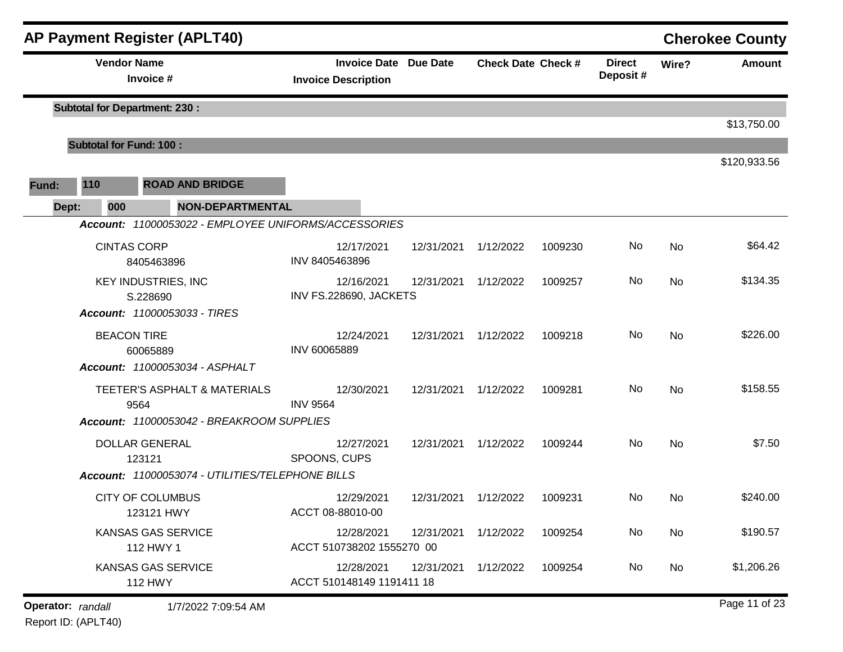|       |                                | <b>AP Payment Register (APLT40)</b>                  |                                                            |            |                           |         |                           |       | <b>Cherokee County</b> |
|-------|--------------------------------|------------------------------------------------------|------------------------------------------------------------|------------|---------------------------|---------|---------------------------|-------|------------------------|
|       | <b>Vendor Name</b>             | Invoice #                                            | <b>Invoice Date Due Date</b><br><b>Invoice Description</b> |            | <b>Check Date Check #</b> |         | <b>Direct</b><br>Deposit# | Wire? | Amount                 |
|       |                                | <b>Subtotal for Department: 230:</b>                 |                                                            |            |                           |         |                           |       |                        |
|       | <b>Subtotal for Fund: 100:</b> |                                                      |                                                            |            |                           |         |                           |       | \$13,750.00            |
|       |                                |                                                      |                                                            |            |                           |         |                           |       | \$120,933.56           |
| Fund: | 110                            | <b>ROAD AND BRIDGE</b>                               |                                                            |            |                           |         |                           |       |                        |
| Dept: | 000                            | <b>NON-DEPARTMENTAL</b>                              |                                                            |            |                           |         |                           |       |                        |
|       |                                | Account: 11000053022 - EMPLOYEE UNIFORMS/ACCESSORIES |                                                            |            |                           |         |                           |       |                        |
|       |                                | <b>CINTAS CORP</b><br>8405463896                     | 12/17/2021<br>INV 8405463896                               | 12/31/2021 | 1/12/2022                 | 1009230 | No                        | No    | \$64.42                |
|       |                                | <b>KEY INDUSTRIES, INC</b><br>S.228690               | 12/16/2021<br>INV FS.228690, JACKETS                       | 12/31/2021 | 1/12/2022                 | 1009257 | No                        | No    | \$134.35               |
|       |                                | Account: 11000053033 - TIRES                         |                                                            |            |                           |         |                           |       |                        |
|       |                                | <b>BEACON TIRE</b><br>60065889                       | 12/24/2021<br>INV 60065889                                 | 12/31/2021 | 1/12/2022                 | 1009218 | No                        | No    | \$226.00               |
|       |                                | Account: 11000053034 - ASPHALT                       |                                                            |            |                           |         |                           |       |                        |
|       |                                | TEETER'S ASPHALT & MATERIALS<br>9564                 | 12/30/2021<br><b>INV 9564</b>                              | 12/31/2021 | 1/12/2022                 | 1009281 | No                        | No    | \$158.55               |
|       |                                | Account: 11000053042 - BREAKROOM SUPPLIES            |                                                            |            |                           |         |                           |       |                        |
|       |                                | <b>DOLLAR GENERAL</b><br>123121                      | 12/27/2021<br>SPOONS, CUPS                                 | 12/31/2021 | 1/12/2022                 | 1009244 | No                        | No    | \$7.50                 |
|       |                                | Account: 11000053074 - UTILITIES/TELEPHONE BILLS     |                                                            |            |                           |         |                           |       |                        |
|       |                                | <b>CITY OF COLUMBUS</b><br>123121 HWY                | 12/29/2021<br>ACCT 08-88010-00                             | 12/31/2021 | 1/12/2022                 | 1009231 | No.                       | No    | \$240.00               |
|       |                                | <b>KANSAS GAS SERVICE</b><br>112 HWY 1               | 12/28/2021<br>ACCT 510738202 1555270 00                    | 12/31/2021 | 1/12/2022                 | 1009254 | No                        | No    | \$190.57               |
|       |                                | KANSAS GAS SERVICE<br><b>112 HWY</b>                 | 12/28/2021<br>ACCT 510148149 1191411 18                    | 12/31/2021 | 1/12/2022                 | 1009254 | No                        | No    | \$1,206.26             |
|       | Operator: randall              | 1/7/2022 7:09:54 AM                                  |                                                            |            |                           |         |                           |       | Page 11 of 23          |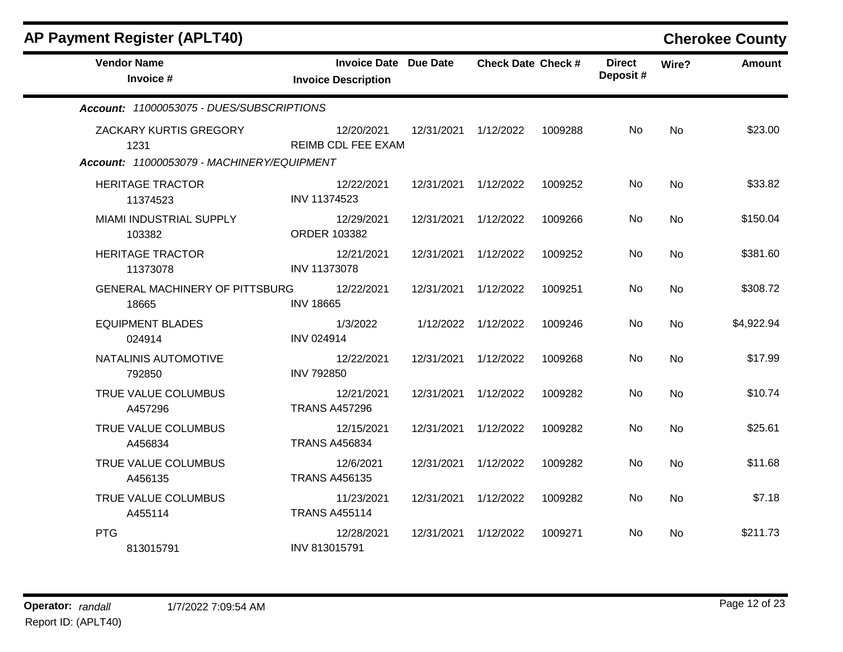| <b>AP Payment Register (APLT40)</b>                                          |                                                     |                      |                           |         |                           |           | <b>Cherokee County</b> |
|------------------------------------------------------------------------------|-----------------------------------------------------|----------------------|---------------------------|---------|---------------------------|-----------|------------------------|
| <b>Vendor Name</b><br>Invoice #                                              | Invoice Date Due Date<br><b>Invoice Description</b> |                      | <b>Check Date Check #</b> |         | <b>Direct</b><br>Deposit# | Wire?     | <b>Amount</b>          |
| Account: 11000053075 - DUES/SUBSCRIPTIONS                                    |                                                     |                      |                           |         |                           |           |                        |
| ZACKARY KURTIS GREGORY<br>1231<br>Account: 11000053079 - MACHINERY/EQUIPMENT | 12/20/2021<br><b>REIMB CDL FEE EXAM</b>             | 12/31/2021 1/12/2022 |                           | 1009288 | No                        | <b>No</b> | \$23.00                |
|                                                                              |                                                     |                      |                           |         |                           |           |                        |
| <b>HERITAGE TRACTOR</b><br>11374523                                          | 12/22/2021<br>INV 11374523                          | 12/31/2021 1/12/2022 |                           | 1009252 | No.                       | <b>No</b> | \$33.82                |
| MIAMI INDUSTRIAL SUPPLY<br>103382                                            | 12/29/2021<br>ORDER 103382                          | 12/31/2021           | 1/12/2022                 | 1009266 | No.                       | <b>No</b> | \$150.04               |
| <b>HERITAGE TRACTOR</b><br>11373078                                          | 12/21/2021<br>INV 11373078                          | 12/31/2021           | 1/12/2022                 | 1009252 | No.                       | <b>No</b> | \$381.60               |
| <b>GENERAL MACHINERY OF PITTSBURG</b><br>18665                               | 12/22/2021<br><b>INV 18665</b>                      | 12/31/2021           | 1/12/2022                 | 1009251 | No.                       | <b>No</b> | \$308.72               |
| <b>EQUIPMENT BLADES</b><br>024914                                            | 1/3/2022<br><b>INV 024914</b>                       |                      | 1/12/2022 1/12/2022       | 1009246 | No                        | <b>No</b> | \$4,922.94             |
| NATALINIS AUTOMOTIVE<br>792850                                               | 12/22/2021<br><b>INV 792850</b>                     | 12/31/2021           | 1/12/2022                 | 1009268 | <b>No</b>                 | <b>No</b> | \$17.99                |
| TRUE VALUE COLUMBUS<br>A457296                                               | 12/21/2021<br><b>TRANS A457296</b>                  | 12/31/2021 1/12/2022 |                           | 1009282 | No.                       | <b>No</b> | \$10.74                |
| TRUE VALUE COLUMBUS<br>A456834                                               | 12/15/2021<br><b>TRANS A456834</b>                  | 12/31/2021           | 1/12/2022                 | 1009282 | <b>No</b>                 | <b>No</b> | \$25.61                |
| TRUE VALUE COLUMBUS<br>A456135                                               | 12/6/2021<br><b>TRANS A456135</b>                   | 12/31/2021 1/12/2022 |                           | 1009282 | No.                       | No        | \$11.68                |
| TRUE VALUE COLUMBUS<br>A455114                                               | 11/23/2021<br><b>TRANS A455114</b>                  | 12/31/2021 1/12/2022 |                           | 1009282 | No.                       | <b>No</b> | \$7.18                 |
| <b>PTG</b><br>813015791                                                      | 12/28/2021<br>INV 813015791                         | 12/31/2021 1/12/2022 |                           | 1009271 | No                        | No.       | \$211.73               |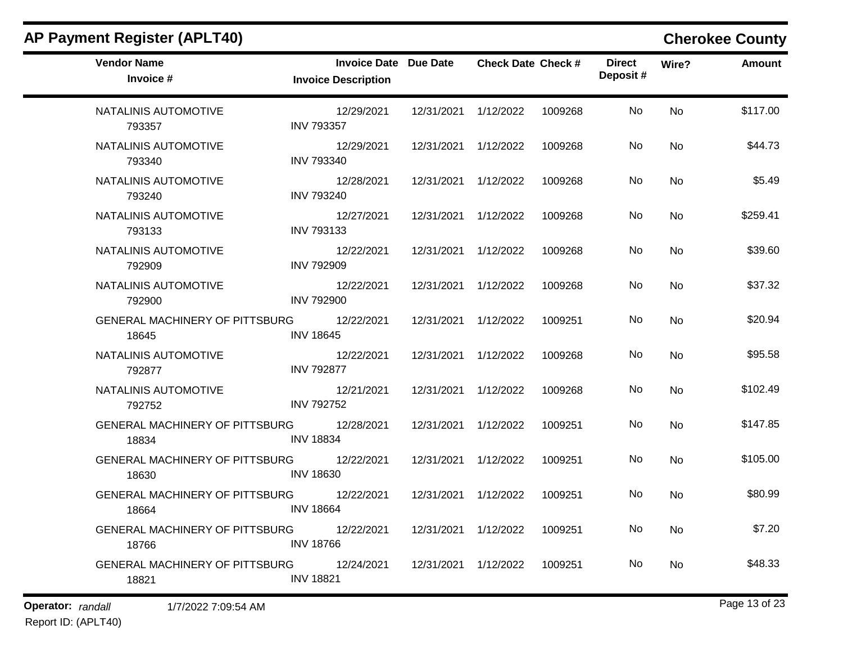| <b>Vendor Name</b><br>Invoice #                | Invoice Date Due Date<br><b>Invoice Description</b> |                      | <b>Check Date Check #</b> |         | <b>Direct</b><br>Deposit# | Wire?     | <b>Amount</b> |
|------------------------------------------------|-----------------------------------------------------|----------------------|---------------------------|---------|---------------------------|-----------|---------------|
| NATALINIS AUTOMOTIVE<br>793357                 | 12/29/2021<br><b>INV 793357</b>                     | 12/31/2021 1/12/2022 |                           | 1009268 | No.                       | <b>No</b> | \$117.00      |
| NATALINIS AUTOMOTIVE<br>793340                 | 12/29/2021<br><b>INV 793340</b>                     | 12/31/2021 1/12/2022 |                           | 1009268 | No                        | <b>No</b> | \$44.73       |
| NATALINIS AUTOMOTIVE<br>793240                 | 12/28/2021<br><b>INV 793240</b>                     | 12/31/2021 1/12/2022 |                           | 1009268 | No                        | No        | \$5.49        |
| NATALINIS AUTOMOTIVE<br>793133                 | 12/27/2021<br><b>INV 793133</b>                     | 12/31/2021 1/12/2022 |                           | 1009268 | No                        | <b>No</b> | \$259.41      |
| NATALINIS AUTOMOTIVE<br>792909                 | 12/22/2021<br><b>INV 792909</b>                     | 12/31/2021 1/12/2022 |                           | 1009268 | No.                       | No        | \$39.60       |
| NATALINIS AUTOMOTIVE<br>792900                 | 12/22/2021<br><b>INV 792900</b>                     | 12/31/2021 1/12/2022 |                           | 1009268 | No                        | <b>No</b> | \$37.32       |
| GENERAL MACHINERY OF PITTSBURG<br>18645        | 12/22/2021<br><b>INV 18645</b>                      | 12/31/2021 1/12/2022 |                           | 1009251 | No.                       | <b>No</b> | \$20.94       |
| NATALINIS AUTOMOTIVE<br>792877                 | 12/22/2021<br><b>INV 792877</b>                     | 12/31/2021 1/12/2022 |                           | 1009268 | No                        | No        | \$95.58       |
| NATALINIS AUTOMOTIVE<br>792752                 | 12/21/2021<br><b>INV 792752</b>                     | 12/31/2021 1/12/2022 |                           | 1009268 | No.                       | <b>No</b> | \$102.49      |
| GENERAL MACHINERY OF PITTSBURG<br>18834        | 12/28/2021<br><b>INV 18834</b>                      | 12/31/2021 1/12/2022 |                           | 1009251 | No.                       | No        | \$147.85      |
| GENERAL MACHINERY OF PITTSBURG<br>18630        | 12/22/2021<br><b>INV 18630</b>                      | 12/31/2021 1/12/2022 |                           | 1009251 | No                        | <b>No</b> | \$105.00      |
| GENERAL MACHINERY OF PITTSBURG<br>18664        | 12/22/2021<br><b>INV 18664</b>                      | 12/31/2021 1/12/2022 |                           | 1009251 | No.                       | <b>No</b> | \$80.99       |
| GENERAL MACHINERY OF PITTSBURG<br>18766        | 12/22/2021<br><b>INV 18766</b>                      | 12/31/2021 1/12/2022 |                           | 1009251 | No.                       | No        | \$7.20        |
| <b>GENERAL MACHINERY OF PITTSBURG</b><br>18821 | 12/24/2021<br><b>INV 18821</b>                      | 12/31/2021 1/12/2022 |                           | 1009251 | No.                       | <b>No</b> | \$48.33       |

# **Operator:** randall 1/7/2022 7:09:54 AM **Page 13 of 23**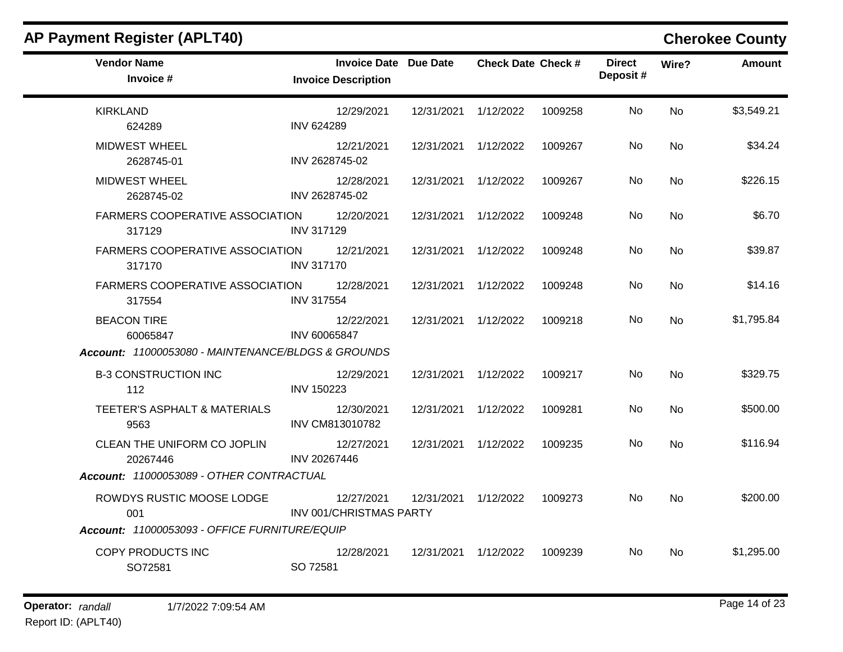| <b>Vendor Name</b><br>Invoice #                      | <b>Invoice Date Due Date</b><br><b>Invoice Description</b> |                      | <b>Check Date Check #</b> |         | <b>Direct</b><br>Deposit# | Wire?     | Amount     |
|------------------------------------------------------|------------------------------------------------------------|----------------------|---------------------------|---------|---------------------------|-----------|------------|
| <b>KIRKLAND</b><br>624289                            | 12/29/2021<br><b>INV 624289</b>                            | 12/31/2021 1/12/2022 |                           | 1009258 | No.                       | <b>No</b> | \$3,549.21 |
| <b>MIDWEST WHEEL</b><br>2628745-01                   | 12/21/2021<br>INV 2628745-02                               | 12/31/2021 1/12/2022 |                           | 1009267 | No.                       | <b>No</b> | \$34.24    |
| <b>MIDWEST WHEEL</b><br>2628745-02                   | 12/28/2021<br>INV 2628745-02                               | 12/31/2021 1/12/2022 |                           | 1009267 | No.                       | <b>No</b> | \$226.15   |
| FARMERS COOPERATIVE ASSOCIATION 12/20/2021<br>317129 | <b>INV 317129</b>                                          | 12/31/2021 1/12/2022 |                           | 1009248 | No.                       | No.       | \$6.70     |
| FARMERS COOPERATIVE ASSOCIATION<br>317170            | 12/21/2021<br><b>INV 317170</b>                            | 12/31/2021 1/12/2022 |                           | 1009248 | No                        | No        | \$39.87    |
| FARMERS COOPERATIVE ASSOCIATION<br>317554            | 12/28/2021<br><b>INV 317554</b>                            | 12/31/2021 1/12/2022 |                           | 1009248 | No.                       | No        | \$14.16    |
| <b>BEACON TIRE</b><br>60065847                       | 12/22/2021<br>INV 60065847                                 | 12/31/2021 1/12/2022 |                           | 1009218 | No                        | <b>No</b> | \$1,795.84 |
| Account: 11000053080 - MAINTENANCE/BLDGS & GROUNDS   |                                                            |                      |                           |         |                           |           |            |
| <b>B-3 CONSTRUCTION INC</b><br>112                   | 12/29/2021<br><b>INV 150223</b>                            | 12/31/2021 1/12/2022 |                           | 1009217 | No.                       | No        | \$329.75   |
| TEETER'S ASPHALT & MATERIALS<br>9563                 | 12/30/2021<br>INV CM813010782                              | 12/31/2021 1/12/2022 |                           | 1009281 | No.                       | <b>No</b> | \$500.00   |
| CLEAN THE UNIFORM CO JOPLIN<br>20267446              | 12/27/2021<br>INV 20267446                                 | 12/31/2021 1/12/2022 |                           | 1009235 | No.                       | No        | \$116.94   |
| Account: 11000053089 - OTHER CONTRACTUAL             |                                                            |                      |                           |         |                           |           |            |
| ROWDYS RUSTIC MOOSE LODGE<br>001                     | 12/27/2021<br>INV 001/CHRISTMAS PARTY                      |                      | 12/31/2021  1/12/2022     | 1009273 | No.                       | <b>No</b> | \$200.00   |
| Account: 11000053093 - OFFICE FURNITURE/EQUIP        |                                                            |                      |                           |         |                           |           |            |
| COPY PRODUCTS INC<br>SO72581                         | 12/28/2021<br>SO 72581                                     | 12/31/2021 1/12/2022 |                           | 1009239 | No.                       | No.       | \$1,295.00 |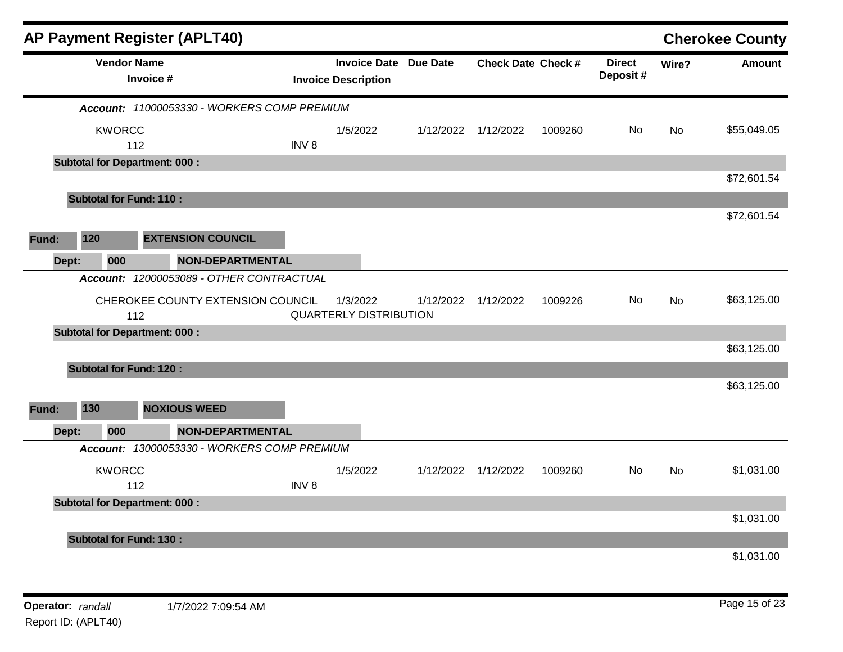|       |                                | <b>AP Payment Register (APLT40)</b>  |                                             |                  |                                                            |           |                           |         |                           |           | <b>Cherokee County</b> |
|-------|--------------------------------|--------------------------------------|---------------------------------------------|------------------|------------------------------------------------------------|-----------|---------------------------|---------|---------------------------|-----------|------------------------|
|       |                                | <b>Vendor Name</b><br>Invoice #      |                                             |                  | <b>Invoice Date Due Date</b><br><b>Invoice Description</b> |           | <b>Check Date Check #</b> |         | <b>Direct</b><br>Deposit# | Wire?     | <b>Amount</b>          |
|       |                                |                                      | Account: 11000053330 - WORKERS COMP PREMIUM |                  |                                                            |           |                           |         |                           |           |                        |
|       | <b>KWORCC</b>                  | 112                                  |                                             | INV <sub>8</sub> | 1/5/2022                                                   | 1/12/2022 | 1/12/2022                 | 1009260 | No                        | <b>No</b> | \$55,049.05            |
|       |                                | <b>Subtotal for Department: 000:</b> |                                             |                  |                                                            |           |                           |         |                           |           |                        |
|       |                                |                                      |                                             |                  |                                                            |           |                           |         |                           |           | \$72,601.54            |
|       |                                | <b>Subtotal for Fund: 110:</b>       |                                             |                  |                                                            |           |                           |         |                           |           | \$72,601.54            |
| Fund: | 120                            | <b>EXTENSION COUNCIL</b>             |                                             |                  |                                                            |           |                           |         |                           |           |                        |
| Dept: | 000                            |                                      | <b>NON-DEPARTMENTAL</b>                     |                  |                                                            |           |                           |         |                           |           |                        |
|       |                                |                                      | Account: 12000053089 - OTHER CONTRACTUAL    |                  |                                                            |           |                           |         |                           |           |                        |
|       |                                | 112                                  | CHEROKEE COUNTY EXTENSION COUNCIL           |                  | 1/3/2022<br><b>QUARTERLY DISTRIBUTION</b>                  | 1/12/2022 | 1/12/2022                 | 1009226 | No.                       | No        | \$63,125.00            |
|       |                                | <b>Subtotal for Department: 000:</b> |                                             |                  |                                                            |           |                           |         |                           |           |                        |
|       |                                |                                      |                                             |                  |                                                            |           |                           |         |                           |           | \$63,125.00            |
|       | <b>Subtotal for Fund: 120:</b> |                                      |                                             |                  |                                                            |           |                           |         |                           |           | \$63,125.00            |
| Fund: | 130                            | <b>NOXIOUS WEED</b>                  |                                             |                  |                                                            |           |                           |         |                           |           |                        |
| Dept: | 000                            |                                      | NON-DEPARTMENTAL                            |                  |                                                            |           |                           |         |                           |           |                        |
|       |                                |                                      | Account: 13000053330 - WORKERS COMP PREMIUM |                  |                                                            |           |                           |         |                           |           |                        |
|       | <b>KWORCC</b>                  | 112                                  |                                             | INV <sub>8</sub> | 1/5/2022                                                   | 1/12/2022 | 1/12/2022                 | 1009260 | No.                       | <b>No</b> | \$1,031.00             |
|       |                                | <b>Subtotal for Department: 000:</b> |                                             |                  |                                                            |           |                           |         |                           |           |                        |
|       |                                |                                      |                                             |                  |                                                            |           |                           |         |                           |           | \$1,031.00             |
|       | <b>Subtotal for Fund: 130:</b> |                                      |                                             |                  |                                                            |           |                           |         |                           |           |                        |
|       |                                |                                      |                                             |                  |                                                            |           |                           |         |                           |           | \$1,031.00             |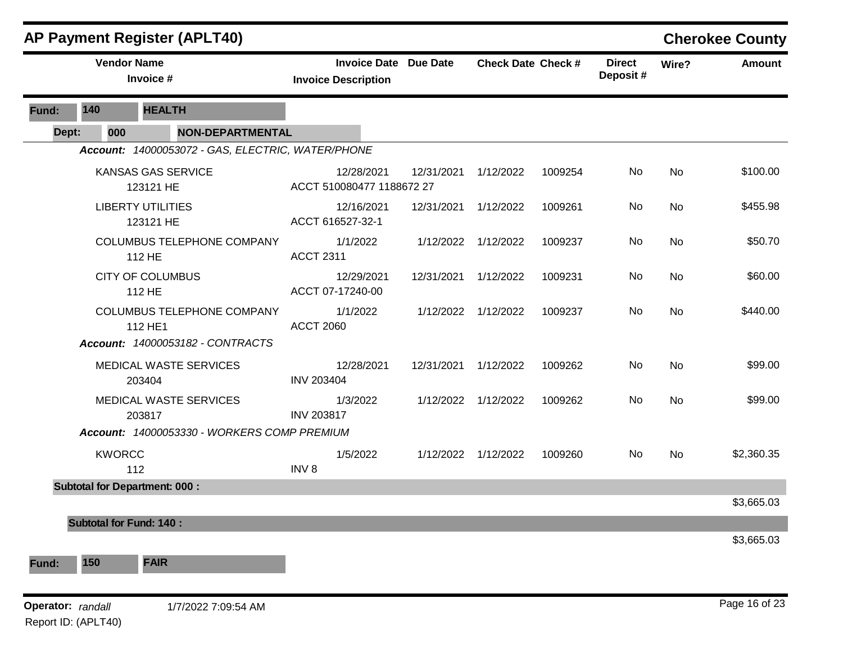|       |                                          | <b>AP Payment Register (APLT40)</b>               |                                         |                              |                           |         |                           |           | <b>Cherokee County</b> |
|-------|------------------------------------------|---------------------------------------------------|-----------------------------------------|------------------------------|---------------------------|---------|---------------------------|-----------|------------------------|
|       |                                          | <b>Vendor Name</b><br>Invoice #                   | <b>Invoice Description</b>              | <b>Invoice Date Due Date</b> | <b>Check Date Check #</b> |         | <b>Direct</b><br>Deposit# | Wire?     | <b>Amount</b>          |
| Fund: | 140                                      | <b>HEALTH</b>                                     |                                         |                              |                           |         |                           |           |                        |
| Dept: | 000                                      | <b>NON-DEPARTMENTAL</b>                           |                                         |                              |                           |         |                           |           |                        |
|       |                                          | Account: 14000053072 - GAS, ELECTRIC, WATER/PHONE |                                         |                              |                           |         |                           |           |                        |
|       |                                          | KANSAS GAS SERVICE<br>123121 HE                   | 12/28/2021<br>ACCT 510080477 1188672 27 | 12/31/2021                   | 1/12/2022                 | 1009254 | No                        | <b>No</b> | \$100.00               |
|       |                                          | <b>LIBERTY UTILITIES</b><br>123121 HE             | 12/16/2021<br>ACCT 616527-32-1          | 12/31/2021                   | 1/12/2022                 | 1009261 | No                        | No        | \$455.98               |
|       |                                          | COLUMBUS TELEPHONE COMPANY<br>112 HE              | 1/1/2022<br><b>ACCT 2311</b>            |                              | 1/12/2022 1/12/2022       | 1009237 | No                        | <b>No</b> | \$50.70                |
|       |                                          | <b>CITY OF COLUMBUS</b><br>112 HE                 | 12/29/2021<br>ACCT 07-17240-00          | 12/31/2021                   | 1/12/2022                 | 1009231 | No                        | <b>No</b> | \$60.00                |
|       |                                          | <b>COLUMBUS TELEPHONE COMPANY</b><br>112 HE1      | 1/1/2022<br><b>ACCT 2060</b>            |                              | 1/12/2022 1/12/2022       | 1009237 | No                        | No        | \$440.00               |
|       |                                          | Account: 14000053182 - CONTRACTS                  |                                         |                              |                           |         |                           |           |                        |
|       |                                          | MEDICAL WASTE SERVICES<br>203404                  | 12/28/2021<br><b>INV 203404</b>         | 12/31/2021                   | 1/12/2022                 | 1009262 | No                        | <b>No</b> | \$99.00                |
|       |                                          | MEDICAL WASTE SERVICES<br>203817                  | 1/3/2022<br><b>INV 203817</b>           |                              | 1/12/2022 1/12/2022       | 1009262 | No                        | No        | \$99.00                |
|       |                                          | Account: 14000053330 - WORKERS COMP PREMIUM       |                                         |                              |                           |         |                           |           |                        |
|       | <b>KWORCC</b>                            | 112                                               | 1/5/2022<br>INV <sub>8</sub>            |                              | 1/12/2022 1/12/2022       | 1009260 | No                        | <b>No</b> | \$2,360.35             |
|       |                                          | <b>Subtotal for Department: 000:</b>              |                                         |                              |                           |         |                           |           |                        |
|       | <b>Subtotal for Fund: 140:</b>           |                                                   |                                         |                              |                           |         |                           |           | \$3,665.03             |
|       |                                          |                                                   |                                         |                              |                           |         |                           |           | \$3,665.03             |
| Fund: | 150                                      | <b>FAIR</b>                                       |                                         |                              |                           |         |                           |           |                        |
|       | Operator: randall<br>Report ID: (APLT40) | 1/7/2022 7:09:54 AM                               |                                         |                              |                           |         |                           |           | Page 16 of 23          |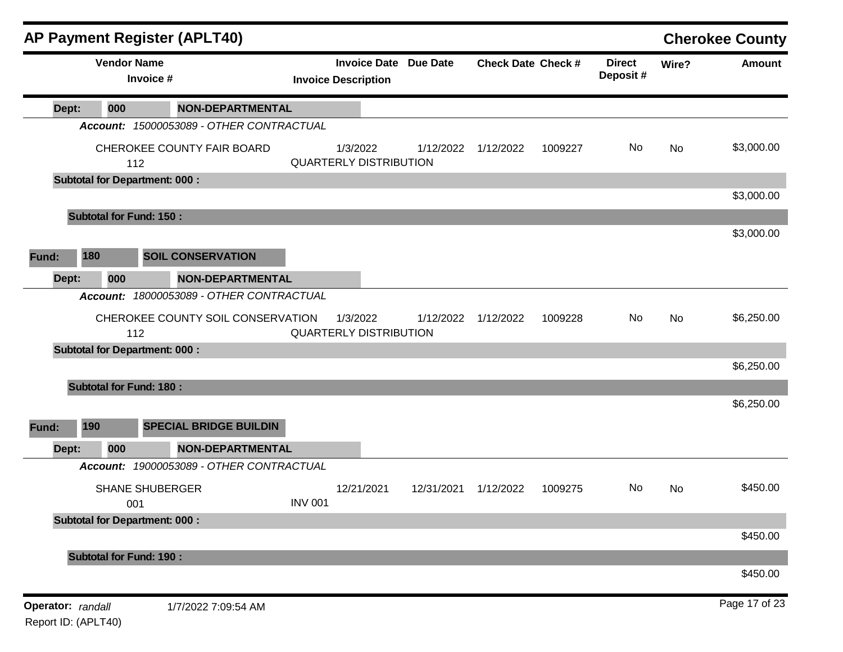|       |                                |                                 | <b>AP Payment Register (APLT40)</b>      |                |                                                            |            |                           |         |                            |       | <b>Cherokee County</b> |
|-------|--------------------------------|---------------------------------|------------------------------------------|----------------|------------------------------------------------------------|------------|---------------------------|---------|----------------------------|-------|------------------------|
|       |                                | <b>Vendor Name</b><br>Invoice # |                                          |                | <b>Invoice Date Due Date</b><br><b>Invoice Description</b> |            | <b>Check Date Check #</b> |         | <b>Direct</b><br>Deposit # | Wire? | Amount                 |
| Dept: |                                | 000                             | <b>NON-DEPARTMENTAL</b>                  |                |                                                            |            |                           |         |                            |       |                        |
|       |                                |                                 | Account: 15000053089 - OTHER CONTRACTUAL |                |                                                            |            |                           |         |                            |       |                        |
|       |                                | 112                             | CHEROKEE COUNTY FAIR BOARD               |                | 1/3/2022<br><b>QUARTERLY DISTRIBUTION</b>                  | 1/12/2022  | 1/12/2022                 | 1009227 | No                         | No    | \$3,000.00             |
|       |                                |                                 | <b>Subtotal for Department: 000:</b>     |                |                                                            |            |                           |         |                            |       |                        |
|       |                                |                                 |                                          |                |                                                            |            |                           |         |                            |       | \$3,000.00             |
|       | <b>Subtotal for Fund: 150:</b> |                                 |                                          |                |                                                            |            |                           |         |                            |       | \$3,000.00             |
|       |                                |                                 |                                          |                |                                                            |            |                           |         |                            |       |                        |
| Fund: | 180                            |                                 | <b>SOIL CONSERVATION</b>                 |                |                                                            |            |                           |         |                            |       |                        |
| Dept: |                                | 000                             | <b>NON-DEPARTMENTAL</b>                  |                |                                                            |            |                           |         |                            |       |                        |
|       | <b>Account:</b>                |                                 | 18000053089 - OTHER CONTRACTUAL          |                |                                                            |            |                           |         |                            |       |                        |
|       |                                | 112                             | CHEROKEE COUNTY SOIL CONSERVATION        |                | 1/3/2022<br><b>QUARTERLY DISTRIBUTION</b>                  | 1/12/2022  | 1/12/2022                 | 1009228 | No                         | No    | \$6,250.00             |
|       |                                |                                 | <b>Subtotal for Department: 000:</b>     |                |                                                            |            |                           |         |                            |       |                        |
|       |                                |                                 |                                          |                |                                                            |            |                           |         |                            |       | \$6,250.00             |
|       | <b>Subtotal for Fund: 180:</b> |                                 |                                          |                |                                                            |            |                           |         |                            |       | \$6,250.00             |
|       |                                |                                 |                                          |                |                                                            |            |                           |         |                            |       |                        |
| Fund: | 190                            |                                 | <b>SPECIAL BRIDGE BUILDIN</b>            |                |                                                            |            |                           |         |                            |       |                        |
| Dept: |                                | 000                             | <b>NON-DEPARTMENTAL</b>                  |                |                                                            |            |                           |         |                            |       |                        |
|       |                                |                                 | Account: 19000053089 - OTHER CONTRACTUAL |                |                                                            |            |                           |         |                            |       |                        |
|       |                                |                                 | <b>SHANE SHUBERGER</b>                   |                | 12/21/2021                                                 | 12/31/2021 | 1/12/2022                 | 1009275 | No                         | No    | \$450.00               |
|       |                                | 001                             | <b>Subtotal for Department: 000:</b>     | <b>INV 001</b> |                                                            |            |                           |         |                            |       |                        |
|       |                                |                                 |                                          |                |                                                            |            |                           |         |                            |       | \$450.00               |
|       | <b>Subtotal for Fund: 190:</b> |                                 |                                          |                |                                                            |            |                           |         |                            |       |                        |
|       |                                |                                 |                                          |                |                                                            |            |                           |         |                            |       | \$450.00               |
|       |                                |                                 |                                          |                |                                                            |            |                           |         |                            |       |                        |
|       | Operator: randall              |                                 | 1/7/2022 7:09:54 AM                      |                |                                                            |            |                           |         |                            |       | Page 17 of 23          |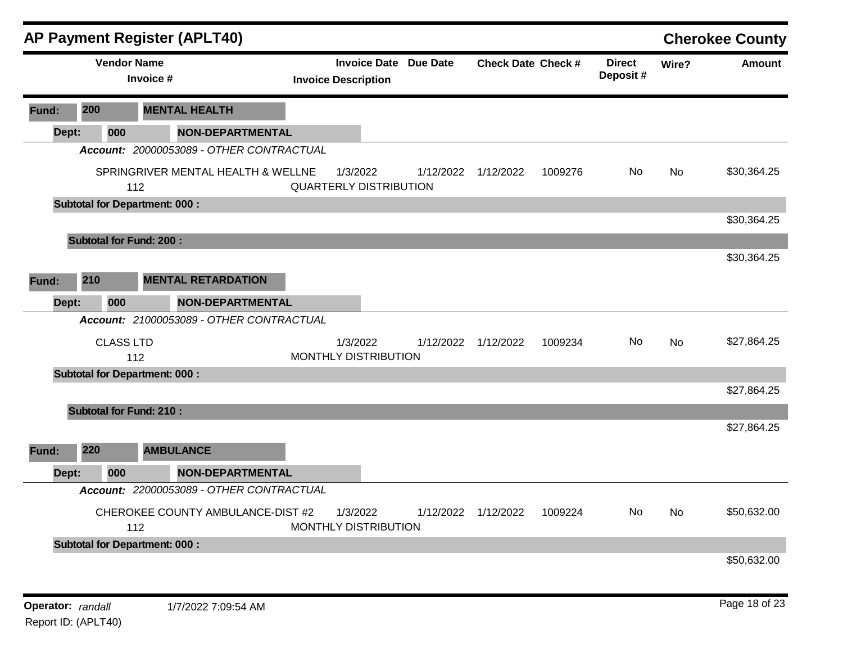|       |       |                    |                                      | <b>AP Payment Register (APLT40)</b>      |                                                            |           |                           |         |                            |           | <b>Cherokee County</b> |
|-------|-------|--------------------|--------------------------------------|------------------------------------------|------------------------------------------------------------|-----------|---------------------------|---------|----------------------------|-----------|------------------------|
|       |       | <b>Vendor Name</b> | Invoice #                            |                                          | <b>Invoice Date Due Date</b><br><b>Invoice Description</b> |           | <b>Check Date Check #</b> |         | <b>Direct</b><br>Deposit # | Wire?     | <b>Amount</b>          |
| Fund: | 200   |                    |                                      | <b>MENTAL HEALTH</b>                     |                                                            |           |                           |         |                            |           |                        |
|       | Dept: | 000                |                                      | <b>NON-DEPARTMENTAL</b>                  |                                                            |           |                           |         |                            |           |                        |
|       |       |                    |                                      | Account: 20000053089 - OTHER CONTRACTUAL |                                                            |           |                           |         |                            |           |                        |
|       |       |                    | 112                                  | SPRINGRIVER MENTAL HEALTH & WELLNE       | 1/3/2022<br><b>QUARTERLY DISTRIBUTION</b>                  | 1/12/2022 | 1/12/2022                 | 1009276 | No.                        | <b>No</b> | \$30,364.25            |
|       |       |                    | <b>Subtotal for Department: 000:</b> |                                          |                                                            |           |                           |         |                            |           |                        |
|       |       |                    |                                      |                                          |                                                            |           |                           |         |                            |           | \$30,364.25            |
|       |       |                    | <b>Subtotal for Fund: 200:</b>       |                                          |                                                            |           |                           |         |                            |           |                        |
|       |       |                    |                                      |                                          |                                                            |           |                           |         |                            |           | \$30,364.25            |
| Fund: | 210   |                    |                                      | <b>MENTAL RETARDATION</b>                |                                                            |           |                           |         |                            |           |                        |
|       | Dept: | 000                |                                      | <b>NON-DEPARTMENTAL</b>                  |                                                            |           |                           |         |                            |           |                        |
|       |       |                    |                                      | Account: 21000053089 - OTHER CONTRACTUAL |                                                            |           |                           |         |                            |           |                        |
|       |       | <b>CLASS LTD</b>   | 112                                  |                                          | 1/3/2022<br>MONTHLY DISTRIBUTION                           | 1/12/2022 | 1/12/2022                 | 1009234 | No.                        | <b>No</b> | \$27,864.25            |
|       |       |                    | <b>Subtotal for Department: 000:</b> |                                          |                                                            |           |                           |         |                            |           |                        |
|       |       |                    |                                      |                                          |                                                            |           |                           |         |                            |           | \$27,864.25            |
|       |       |                    | <b>Subtotal for Fund: 210:</b>       |                                          |                                                            |           |                           |         |                            |           |                        |
|       |       |                    |                                      |                                          |                                                            |           |                           |         |                            |           | \$27,864.25            |
| Fund: | 220   |                    |                                      | <b>AMBULANCE</b>                         |                                                            |           |                           |         |                            |           |                        |
|       | Dept: | 000                |                                      | <b>NON-DEPARTMENTAL</b>                  |                                                            |           |                           |         |                            |           |                        |
|       |       |                    |                                      | Account: 22000053089 - OTHER CONTRACTUAL |                                                            |           |                           |         |                            |           |                        |
|       |       |                    | 112                                  | CHEROKEE COUNTY AMBULANCE-DIST #2        | 1/3/2022<br>MONTHLY DISTRIBUTION                           |           | 1/12/2022 1/12/2022       | 1009224 | No.                        | <b>No</b> | \$50,632.00            |
|       |       |                    | <b>Subtotal for Department: 000:</b> |                                          |                                                            |           |                           |         |                            |           |                        |
|       |       |                    |                                      |                                          |                                                            |           |                           |         |                            |           | \$50,632.00            |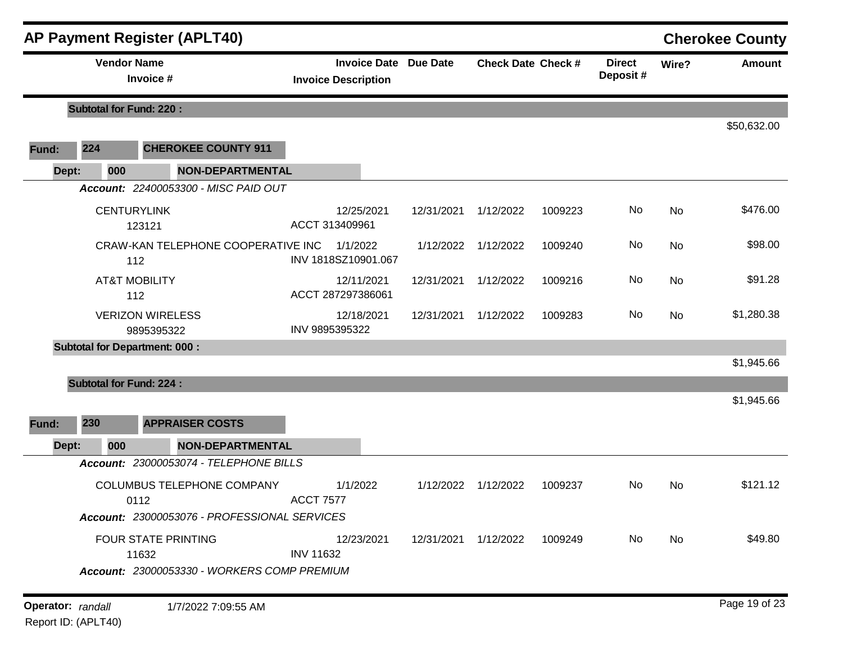|       |                   | <b>AP Payment Register (APLT40)</b>                                                |                                                            |                      |                           |         |                           |       | <b>Cherokee County</b> |
|-------|-------------------|------------------------------------------------------------------------------------|------------------------------------------------------------|----------------------|---------------------------|---------|---------------------------|-------|------------------------|
|       |                   | <b>Vendor Name</b><br>Invoice #                                                    | <b>Invoice Date Due Date</b><br><b>Invoice Description</b> |                      | <b>Check Date Check #</b> |         | <b>Direct</b><br>Deposit# | Wire? | <b>Amount</b>          |
|       |                   | <b>Subtotal for Fund: 220:</b>                                                     |                                                            |                      |                           |         |                           |       |                        |
| Fund: | 224               | <b>CHEROKEE COUNTY 911</b>                                                         |                                                            |                      |                           |         |                           |       | \$50,632.00            |
| Dept: | 000               | <b>NON-DEPARTMENTAL</b>                                                            |                                                            |                      |                           |         |                           |       |                        |
|       |                   | Account: 22400053300 - MISC PAID OUT                                               |                                                            |                      |                           |         |                           |       |                        |
|       |                   | <b>CENTURYLINK</b><br>123121                                                       | 12/25/2021<br>ACCT 313409961                               | 12/31/2021           | 1/12/2022                 | 1009223 | No                        | No    | \$476.00               |
|       |                   | CRAW-KAN TELEPHONE COOPERATIVE INC<br>112                                          | 1/1/2022<br>INV 1818SZ10901.067                            | 1/12/2022            | 1/12/2022                 | 1009240 | No                        | No    | \$98.00                |
|       |                   | <b>AT&amp;T MOBILITY</b><br>112                                                    | 12/11/2021<br>ACCT 287297386061                            | 12/31/2021           | 1/12/2022                 | 1009216 | No                        | No    | \$91.28                |
|       |                   | <b>VERIZON WIRELESS</b><br>9895395322                                              | 12/18/2021<br>INV 9895395322                               | 12/31/2021           | 1/12/2022                 | 1009283 | No                        | No    | \$1,280.38             |
|       |                   | <b>Subtotal for Department: 000:</b>                                               |                                                            |                      |                           |         |                           |       | \$1,945.66             |
|       |                   | <b>Subtotal for Fund: 224:</b>                                                     |                                                            |                      |                           |         |                           |       | \$1,945.66             |
| Fund: | 230               | <b>APPRAISER COSTS</b>                                                             |                                                            |                      |                           |         |                           |       |                        |
| Dept: | 000               | <b>NON-DEPARTMENTAL</b>                                                            |                                                            |                      |                           |         |                           |       |                        |
|       |                   | Account: 23000053074 - TELEPHONE BILLS                                             |                                                            |                      |                           |         |                           |       |                        |
|       |                   | COLUMBUS TELEPHONE COMPANY<br>0112                                                 | 1/1/2022<br><b>ACCT 7577</b>                               | 1/12/2022            | 1/12/2022                 | 1009237 | No                        | No    | \$121.12               |
|       |                   | Account: 23000053076 - PROFESSIONAL SERVICES                                       |                                                            |                      |                           |         |                           |       |                        |
|       |                   | <b>FOUR STATE PRINTING</b><br>11632<br>Account: 23000053330 - WORKERS COMP PREMIUM | 12/23/2021<br><b>INV 11632</b>                             | 12/31/2021 1/12/2022 |                           | 1009249 | No.                       | No    | \$49.80                |
|       |                   |                                                                                    |                                                            |                      |                           |         |                           |       |                        |
|       | Operator: randall | 1/7/2022 7:09:55 AM                                                                |                                                            |                      |                           |         |                           |       | Page 19 of 23          |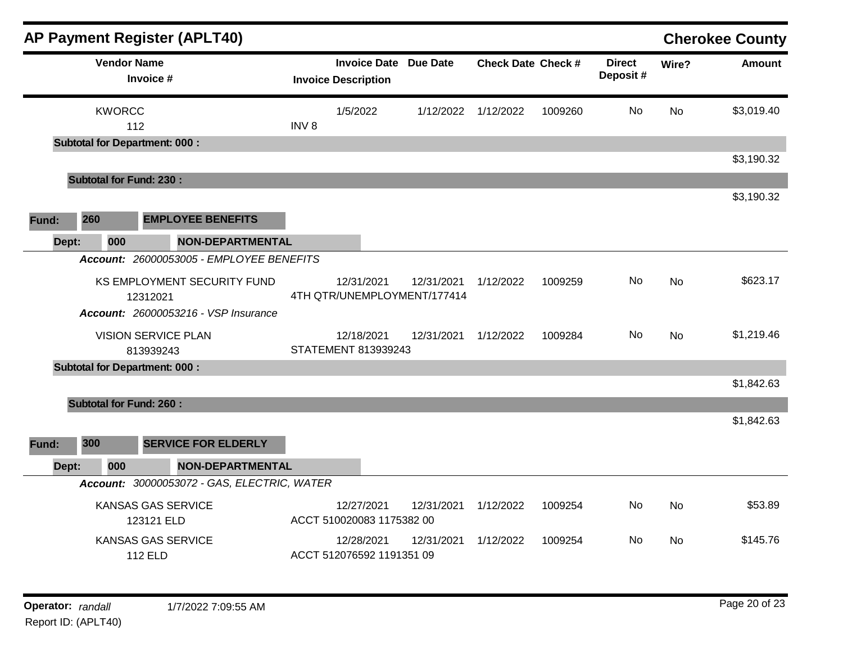| <b>AP Payment Register (APLT40)</b>         |                                             |                  |                                                            |            |                           |         |                           |           | <b>Cherokee County</b> |
|---------------------------------------------|---------------------------------------------|------------------|------------------------------------------------------------|------------|---------------------------|---------|---------------------------|-----------|------------------------|
| <b>Vendor Name</b><br>Invoice #             |                                             |                  | <b>Invoice Date Due Date</b><br><b>Invoice Description</b> |            | <b>Check Date Check #</b> |         | <b>Direct</b><br>Deposit# | Wire?     | <b>Amount</b>          |
| <b>KWORCC</b>                               |                                             |                  | 1/5/2022                                                   | 1/12/2022  | 1/12/2022                 | 1009260 | No                        | <b>No</b> | \$3,019.40             |
| 112<br><b>Subtotal for Department: 000:</b> |                                             | INV <sub>8</sub> |                                                            |            |                           |         |                           |           |                        |
|                                             |                                             |                  |                                                            |            |                           |         |                           |           | \$3,190.32             |
| <b>Subtotal for Fund: 230:</b>              |                                             |                  |                                                            |            |                           |         |                           |           |                        |
|                                             |                                             |                  |                                                            |            |                           |         |                           |           | \$3,190.32             |
| 260<br><b>Fund:</b>                         | <b>EMPLOYEE BENEFITS</b>                    |                  |                                                            |            |                           |         |                           |           |                        |
| 000<br>Dept:                                | <b>NON-DEPARTMENTAL</b>                     |                  |                                                            |            |                           |         |                           |           |                        |
|                                             | Account: 26000053005 - EMPLOYEE BENEFITS    |                  |                                                            |            |                           |         |                           |           |                        |
| 12312021                                    | KS EMPLOYMENT SECURITY FUND                 |                  | 12/31/2021<br>4TH QTR/UNEMPLOYMENT/177414                  | 12/31/2021 | 1/12/2022                 | 1009259 | No                        | <b>No</b> | \$623.17               |
|                                             | <b>Account: 26000053216 - VSP Insurance</b> |                  |                                                            |            |                           |         |                           |           |                        |
| <b>VISION SERVICE PLAN</b><br>813939243     |                                             |                  | 12/18/2021<br>STATEMENT 813939243                          | 12/31/2021 | 1/12/2022                 | 1009284 | No                        | <b>No</b> | \$1,219.46             |
| <b>Subtotal for Department: 000:</b>        |                                             |                  |                                                            |            |                           |         |                           |           |                        |
| <b>Subtotal for Fund: 260:</b>              |                                             |                  |                                                            |            |                           |         |                           |           | \$1,842.63             |
|                                             |                                             |                  |                                                            |            |                           |         |                           |           | \$1,842.63             |
| 300<br>Fund:                                | <b>SERVICE FOR ELDERLY</b>                  |                  |                                                            |            |                           |         |                           |           |                        |
| 000<br>Dept:                                | <b>NON-DEPARTMENTAL</b>                     |                  |                                                            |            |                           |         |                           |           |                        |
|                                             | Account: 30000053072 - GAS, ELECTRIC, WATER |                  |                                                            |            |                           |         |                           |           |                        |
| <b>KANSAS GAS SERVICE</b><br>123121 ELD     |                                             |                  | 12/27/2021<br>ACCT 510020083 1175382 00                    | 12/31/2021 | 1/12/2022                 | 1009254 | No                        | <b>No</b> | \$53.89                |
| <b>KANSAS GAS SERVICE</b><br><b>112 ELD</b> |                                             |                  | 12/28/2021<br>ACCT 512076592 1191351 09                    | 12/31/2021 | 1/12/2022                 | 1009254 | No                        | <b>No</b> | \$145.76               |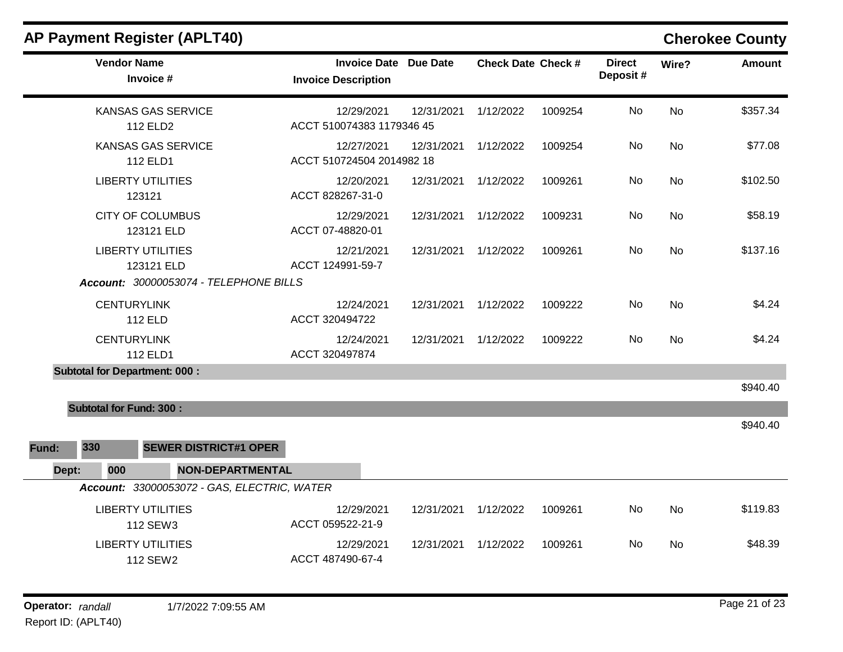| AP Payment Register (APLT40)                      |                                                            |            |                           |         |                           |           | <b>Cherokee County</b> |
|---------------------------------------------------|------------------------------------------------------------|------------|---------------------------|---------|---------------------------|-----------|------------------------|
| <b>Vendor Name</b><br>Invoice #                   | <b>Invoice Date Due Date</b><br><b>Invoice Description</b> |            | <b>Check Date Check #</b> |         | <b>Direct</b><br>Deposit# | Wire?     | <b>Amount</b>          |
| <b>KANSAS GAS SERVICE</b><br>112 ELD <sub>2</sub> | 12/29/2021<br>ACCT 510074383 1179346 45                    | 12/31/2021 | 1/12/2022                 | 1009254 | No                        | No        | \$357.34               |
| <b>KANSAS GAS SERVICE</b><br>112 ELD1             | 12/27/2021<br>ACCT 510724504 2014982 18                    | 12/31/2021 | 1/12/2022                 | 1009254 | No                        | <b>No</b> | \$77.08                |
| <b>LIBERTY UTILITIES</b><br>123121                | 12/20/2021<br>ACCT 828267-31-0                             | 12/31/2021 | 1/12/2022                 | 1009261 | No                        | No        | \$102.50               |
| <b>CITY OF COLUMBUS</b><br>123121 ELD             | 12/29/2021<br>ACCT 07-48820-01                             | 12/31/2021 | 1/12/2022                 | 1009231 | No                        | No        | \$58.19                |
| <b>LIBERTY UTILITIES</b><br>123121 ELD            | 12/21/2021<br>ACCT 124991-59-7                             | 12/31/2021 | 1/12/2022                 | 1009261 | No                        | <b>No</b> | \$137.16               |
| Account: 30000053074 - TELEPHONE BILLS            |                                                            |            |                           |         |                           |           |                        |
| <b>CENTURYLINK</b><br><b>112 ELD</b>              | 12/24/2021<br>ACCT 320494722                               | 12/31/2021 | 1/12/2022                 | 1009222 | No                        | <b>No</b> | \$4.24                 |
| <b>CENTURYLINK</b><br>112 ELD1                    | 12/24/2021<br>ACCT 320497874                               | 12/31/2021 | 1/12/2022                 | 1009222 | No                        | <b>No</b> | \$4.24                 |
| <b>Subtotal for Department: 000:</b>              |                                                            |            |                           |         |                           |           |                        |
|                                                   |                                                            |            |                           |         |                           |           | \$940.40               |
| <b>Subtotal for Fund: 300:</b>                    |                                                            |            |                           |         |                           |           |                        |
|                                                   |                                                            |            |                           |         |                           |           | \$940.40               |
| 330<br><b>SEWER DISTRICT#1 OPER</b><br>Fund:      |                                                            |            |                           |         |                           |           |                        |
| <b>NON-DEPARTMENTAL</b><br>Dept:<br>000           |                                                            |            |                           |         |                           |           |                        |
| Account: 33000053072 - GAS, ELECTRIC, WATER       |                                                            |            |                           |         |                           |           |                        |
| <b>LIBERTY UTILITIES</b><br>112 SEW3              | 12/29/2021<br>ACCT 059522-21-9                             | 12/31/2021 | 1/12/2022                 | 1009261 | No                        | <b>No</b> | \$119.83               |
| <b>LIBERTY UTILITIES</b><br>112 SEW2              | 12/29/2021<br>ACCT 487490-67-4                             | 12/31/2021 | 1/12/2022                 | 1009261 | No                        | No        | \$48.39                |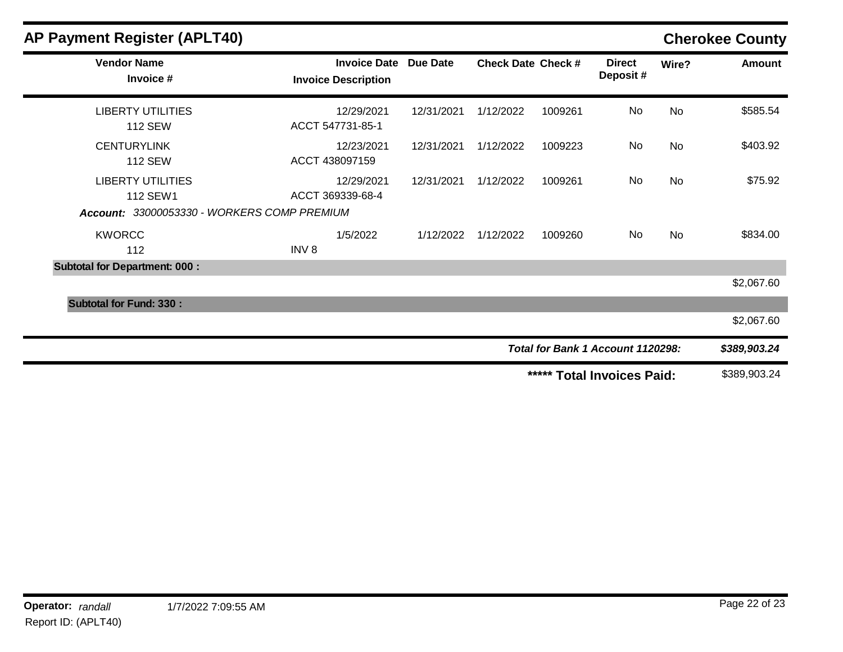| <b>AP Payment Register (APLT40)</b>                                                 |                                                   |                 |                           |         |                                   |           | <b>Cherokee County</b> |
|-------------------------------------------------------------------------------------|---------------------------------------------------|-----------------|---------------------------|---------|-----------------------------------|-----------|------------------------|
| <b>Vendor Name</b><br>Invoice #                                                     | <b>Invoice Date</b><br><b>Invoice Description</b> | <b>Due Date</b> | <b>Check Date Check #</b> |         | <b>Direct</b><br>Deposit#         | Wire?     | <b>Amount</b>          |
| <b>LIBERTY UTILITIES</b><br><b>112 SEW</b>                                          | 12/29/2021<br>ACCT 547731-85-1                    | 12/31/2021      | 1/12/2022                 | 1009261 | No                                | <b>No</b> | \$585.54               |
| <b>CENTURYLINK</b><br><b>112 SEW</b>                                                | 12/23/2021<br>ACCT 438097159                      | 12/31/2021      | 1/12/2022                 | 1009223 | No                                | <b>No</b> | \$403.92               |
| <b>LIBERTY UTILITIES</b><br>112 SEW1<br>Account: 33000053330 - WORKERS COMP PREMIUM | 12/29/2021<br>ACCT 369339-68-4                    | 12/31/2021      | 1/12/2022                 | 1009261 | No                                | <b>No</b> | \$75.92                |
| <b>KWORCC</b><br>112                                                                | 1/5/2022<br>INV <sub>8</sub>                      | 1/12/2022       | 1/12/2022                 | 1009260 | No                                | <b>No</b> | \$834.00               |
| <b>Subtotal for Department: 000:</b>                                                |                                                   |                 |                           |         |                                   |           |                        |
|                                                                                     |                                                   |                 |                           |         |                                   |           | \$2,067.60             |
| <b>Subtotal for Fund: 330:</b>                                                      |                                                   |                 |                           |         |                                   |           |                        |
|                                                                                     |                                                   |                 |                           |         |                                   |           | \$2,067.60             |
|                                                                                     |                                                   |                 |                           |         | Total for Bank 1 Account 1120298: |           | \$389,903.24           |
|                                                                                     |                                                   |                 |                           | *****   | <b>Total Invoices Paid:</b>       |           | \$389,903.24           |